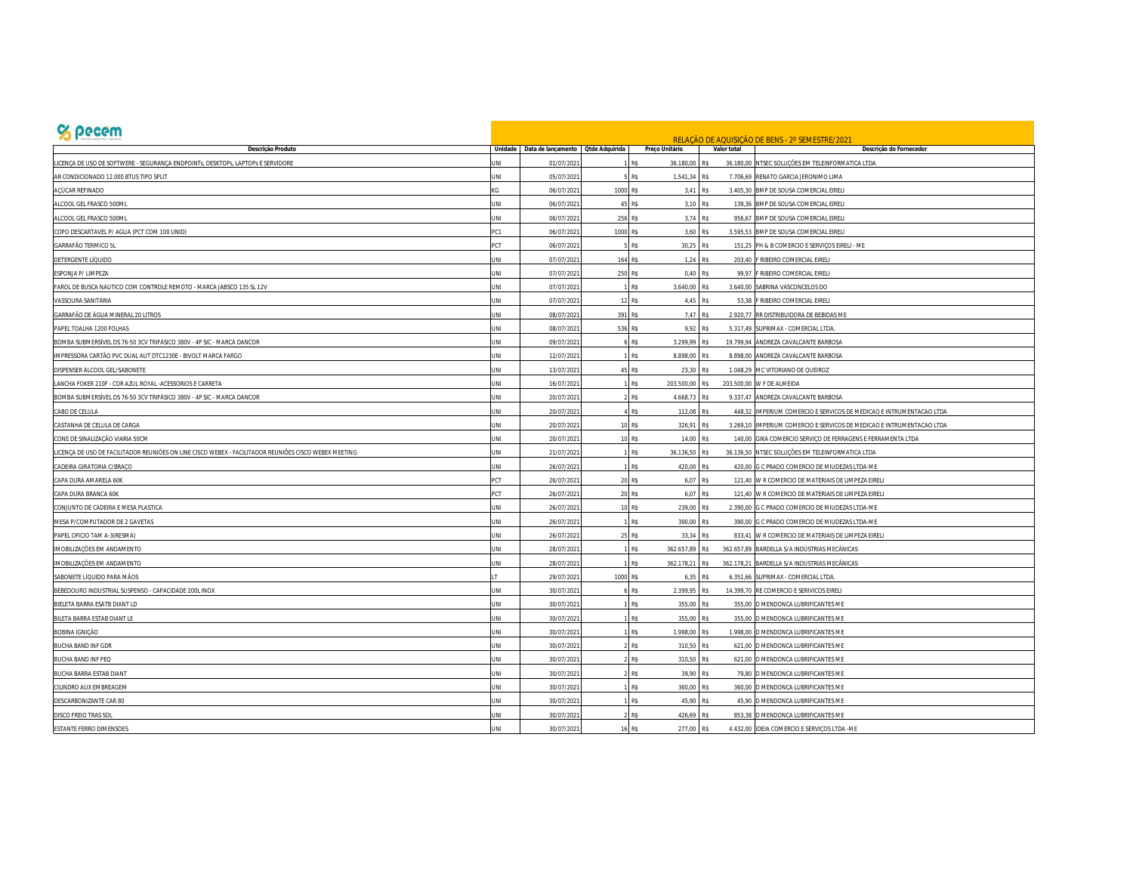| <b>S</b> pecem                                                                                        |                |                                           |          |                                       |                       | RELAÇÃO DE AQUISIÇÃO DE BENS - 2º SEMESTRE/2021                       |
|-------------------------------------------------------------------------------------------------------|----------------|-------------------------------------------|----------|---------------------------------------|-----------------------|-----------------------------------------------------------------------|
| Descrição Produto                                                                                     |                | Unidade Data de lançamento Qtde Adquirida |          | Preço Unitário                        | Valor total           | Descrição do Fornecedor                                               |
| ICENÇA DE USO DE SOFTWERE - SEGURANÇA ENDPOINTs, DESKTOPs, LAPTOPs E SERVIDORE                        | INI            | 01/07/202                                 |          | 36.180,00<br>R₿                       | R\$                   | 36.180,00 NTSEC SOLUÇÕES EM TELEINFORMATICA LTDA                      |
| AR CONDICIONADO 12.000 BTUS TIPO SPLIT                                                                | <b>INL</b>     | 05/07/202                                 |          | R\$<br>1.541,34                       | <b>RS</b>             | 7.706,69 RENATO GARCIA JERONIMO LIMA                                  |
| ACÚCAR REFINADO                                                                                       |                | 06/07/202                                 | 1000     | R\$<br>3,41                           | R\$<br>3.405,30       | BMP DE SOUSA COMERCIAL EIRELI                                         |
| ALCOOL GEL FRASCO 500ML                                                                               | <b>INL</b>     | 06/07/202                                 | 45       | R\$<br>3.10                           | <b>RS</b><br>139.36   | BMP DE SOUSA COMERCIAL EIRELI                                         |
| ALCOOL GEL FRASCO 500ML                                                                               | INI            | 06/07/202                                 | 256      | R₿                                    | 3,74 R\$              | 956,67 BMP DE SOUSA COMERCIAL EIRELI                                  |
| COPO DESCARTAVEL P/ AGUA (PCT COM 100 UNID)                                                           | C <sub>1</sub> | 06/07/202                                 | 1000     | 3,60<br>R\$                           | R\$<br>3.595.53       | BMP DE SOUSA COMERCIAL EIRELI                                         |
| <b>GARRAFÃO TERMICO 5L</b>                                                                            | <b>CT</b>      | 06/07/202                                 |          | 30.25 RS<br>R\$                       |                       | 151.25 PH & B COMERCIO E SERVICOS EIRELI - ME                         |
| <b>DETERGENTE LÍQUIDO</b>                                                                             | <b>INL</b>     | 07/07/202                                 | 164      |                                       | 1,24 R\$              | 203,40 F RIBEIRO COMERCIAL EIRELI                                     |
| ESPONJA P/ LIMPEZA                                                                                    | JNI            | 07/07/202                                 | 250      | R\$                                   | 0,40 RS               | 99,97 F RIBEIRO COMERCIAL EIRELI                                      |
| AROL DE BUSCA NAUTICO COM CONTROLE REMOTO - MARCA JABSCO 135 SL 12V                                   | INI            | 07/07/202                                 |          | 3.640,00<br>R\$                       | <b>RS</b>             | 3.640,00 SABRINA VASCONCELOS DO                                       |
| VASSOURA SANITÁRIA                                                                                    | <b>INL</b>     | 07/07/202                                 | 12       | R\$<br>4,45                           | RS<br>53,38           | F RIBEIRO COMERCIAL EIRELI                                            |
| GARRAFÃO DE ÁGUA MINERAL 20 LITROS                                                                    | JNI            | 08/07/202                                 | 391 R\$  | 7,47                                  | R\$                   | 2.920,77 RR DISTRIBUIDORA DE BEBIDAS ME                               |
| PAPEL TOALHA 1200 FOLHAS                                                                              | <b>JNI</b>     | 08/07/202                                 | 536 R\$  | 9,92                                  | <b>RS</b>             | 5.317,49 SUPRIMAX - COMERCIAL LTDA                                    |
| BOMBA SUBMERSÍVEL DS 76-50 3CV TRIFÁSICO 380V - 4P SIC - MARCA DANCOR                                 | INI            | 09/07/202                                 |          | 3.299,99<br>RS                        | RS                    | 19.799,94 ANDREZA CAVALCANTE BARBOSA                                  |
| MPRESSORA CARTÃO PVC DUAL AUT DTC1230E - BIVOLT MARCA FARGO                                           | JNI            | 12/07/202                                 |          | R\$<br>8.898,00 R\$                   |                       | 8.898,00 ANDREZA CAVALCANTE BARBOSA                                   |
| DISPENSER ÁLCOOL GEL/SABONETE                                                                         | UNI            | 13/07/202                                 | 45       | 23,30<br>R\$                          | R\$                   | 1.048,29 MC VITORIANO DE QUEIROZ                                      |
| ANCHA FOKER 210F - COR AZUL ROYAL -ACESSORIOS E CARRETA                                               | <b>INL</b>     | 16/07/202                                 |          | 203.500,00 R\$<br>R\$                 |                       | 203.500,00 W F DE ALMEIDA                                             |
| BOMBA SUBMERSÍVEL DS 76-50 3CV TRIFÁSICO 380V - 4P SIC - MARCA DANCOR                                 | <b>JNI</b>     | 20/07/202                                 |          | 4.668,73<br>R <sup><sup>c</sup></sup> | 9.337,47<br><b>RS</b> | ANDREZA CAVALCANTE BARBOSA                                            |
| CABO DE CELULA                                                                                        | JNI            | 20/07/202                                 |          | <b>R\$</b><br>112,08                  | 448.32<br>RŚ          | IMPERIUM COMERCIO E SERVICOS DE MEDICAO E INTRUMENTACAO LTDA          |
| CASTANHA DE CELULA DE CARGA                                                                           | <b>INL</b>     | 20/07/202                                 | 10 R\$   | 326,91                                | <b>RS</b>             | 3.269,10 IMPERIUM COMERCIO E SERVICOS DE MEDICAO E INTRUMENTACAO LTDA |
| CONE DE SINALIZAÇÃO VIARIA 50CM                                                                       | <b>JNI</b>     | 20/07/202                                 | 10 R\$   | 14,00                                 | <b>RS</b>             | 140,00 GIKA COMERCIO SERVIÇO DE FERRAGENS E FERRAMENTA LTDA           |
| ICENÇA DE USO DE FACILITADOR REUNIÕES ON LINE CISCO WEBEX - FACILITADOR REUNIÕES CISCO WEBEX MEETING. | JNI            | 21/07/202                                 |          | 36.136,50<br>R\$                      | RS                    | 36.136,50 NTSEC SOLUÇÕES EM TELEINFORMATICA LTDA                      |
| CADEIRA GIRATORIA C/BRAÇO                                                                             | INI            | 26/07/202                                 |          | 420,00 R\$<br>R\$                     | 420,00                | G C PRADO COMERCIO DE MIUDEZAS LTDA-ME                                |
| APA DURA AMARELA 60K                                                                                  | сT             | 26/07/202                                 | 20       | 6,07<br>R\$                           | <b>RS</b>             | 121,40 W R COMERCIO DE MATERIAIS DE LIMPEZA EIRELI                    |
| CAPA DURA BRANCA 60K                                                                                  | сT             | 26/07/202                                 | 20 R\$   | 6,07                                  | R\$                   | 121,40 W R COMERCIO DE MATERIAIS DE LIMPEZA EIRELI                    |
| CONJUNTO DE CADEIRA E MESA PLASTICA                                                                   | INI            | 26/07/202                                 | 10 RS    | 239,00 RS                             | 2.390,00              | G C PRADO COMERCIO DE MIUDEZAS LTDA-ME                                |
| MESA P/COMPUTADOR DE 2 GAVETAS                                                                        | <b>INL</b>     | 26/07/202                                 |          | 390.00<br>R\$                         | RS<br>390.00          | G C PRADO COMERCIO DE MIUDEZAS LTDA-ME                                |
| PAPEL OFICIO TAM A-3(RESMA)                                                                           | INI            | 26/07/202                                 | 25 R\$   | 33,34                                 | RS<br>833.41          | W R COMERCIO DE MATERIAIS DE LIMPEZA EIRELI                           |
| IMOBILIZAÇÕES EM ANDAMENTO                                                                            | JNI            | 28/07/202                                 |          | 362.657,89<br>R\$                     | 362.657,89<br>RS      | BARDELLA S/A INDÚSTRIAS MECÂNICAS                                     |
| IMOBILIZAÇÕES EM ANDAMENTO                                                                            | INI            | 28/07/202                                 |          | 362.178,21<br>R₿                      | RS                    | 362.178,21 BARDELLA S/A INDÚSTRIAS MECÂNICAS                          |
| SABONETE LÍQUIDO PARA MÃOS                                                                            |                | 29/07/202                                 | 1000 R\$ |                                       | 6,35 R\$              | 6.351,66 SUPRIMAX - COMERCIAL LTDA.                                   |
| BEBEDOURO INDUSTRIAL SUSPENSO - CAPACIDADE 200L INOX                                                  | INI            | 30/07/202                                 |          | 2.399,95<br>R\$                       | RS                    | 14.399,70 RE COMERCIO E SERIVICOS EIRELI                              |
| BIELETA BARRA ESATB DIANT LD                                                                          | <b>INL</b>     | 30/07/202                                 |          | R\$<br>355,00                         | R\$                   | 355,00 D MENDONCA LUBRIFICANTES ME                                    |
| BILETA BARRA ESTAB DIANT LE                                                                           | INI            | 30/07/202                                 |          | 355,00<br>R <sup>\$</sup>             | RS                    | 355,00 D MENDONCA LUBRIFICANTES ME                                    |
| BOBINA IGNIÇÃO                                                                                        | JNI            | 30/07/202                                 |          | <b>R\$</b><br>1.998,00                | RS                    | 1.998,00 D MENDONCA LUBRIFICANTES ME                                  |
| <b>BUCHA BAND INF GDR</b>                                                                             | INI            | 30/07/202                                 |          | 310,50<br>R\$                         | <b>RS</b>             | 621,00 D MENDONCA LUBRIFICANTES ME                                    |
| <b>BUCHA BAND INF PEQ</b>                                                                             | INI            | 30/07/202                                 |          | 310,50<br>R\$                         | RS                    | 621,00 D MENDONCA LUBRIFICANTES ME                                    |
| <b>BUCHA BARRA ESTAB DIANT</b>                                                                        | JNI            | 30/07/202                                 |          | <b>R\$</b><br>39,90                   | R\$                   | 79,80 D MENDONCA LUBRIFICANTES ME                                     |
| CILINDRO AUX EMBREAGEM                                                                                | <b>JNI</b>     | 30/07/202                                 |          | R\$<br>360.00 RS                      |                       | 360,00 D MENDONCA LUBRIFICANTES ME                                    |
| DESCARBONIZANTE CAR 80                                                                                | <b>INL</b>     | 30/07/202                                 |          | R\$<br>45.90                          | R۶                    | 45.90 D MENDONCA LUBRIFICANTES ME                                     |
| DISCO FREIO TRAS SOL                                                                                  | <b>INL</b>     | 30/07/202                                 |          | 426,69<br>R\$                         |                       | 853,38 D MENDONCA LUBRIFICANTES ME                                    |
| ESTANTE FERRO DIMENSOES                                                                               | INI            | 30/07/2021                                | 16 RS    | 277,00 R\$                            |                       | 4.432,00 IDEIA COMERCIO E SERVIÇOS LTDA - ME                          |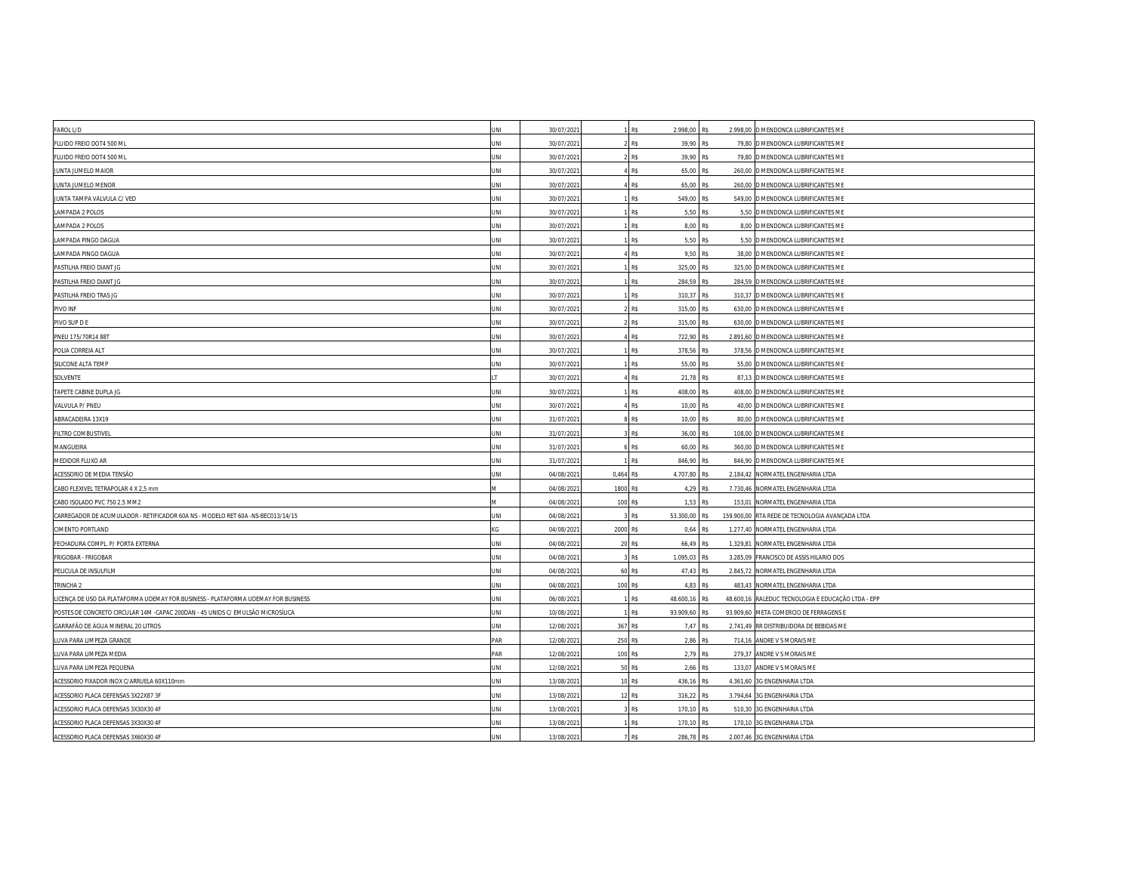| FAROL L/D                                                                         | <b>INL</b> | 30/07/202  |           | R\$        | 2.998,00 R\$  |     | 2.998,00 D MENDONCA LUBRIFICANTES ME               |
|-----------------------------------------------------------------------------------|------------|------------|-----------|------------|---------------|-----|----------------------------------------------------|
| FLUIDO FREIO DOT4 500 ML                                                          | ΙNΙ        | 30/07/202  |           | R\$        | 39,90 R\$     |     | 79,80 D MENDONCA LUBRIFICANTES ME                  |
| FLUIDO FREIO DOT4 500 ML                                                          | JNI        | 30/07/202  |           | R\$        | 39,90 R\$     |     | 79,80 D MENDONCA LUBRIFICANTES ME                  |
| JUNTA JUMELO MAIOR                                                                | JNI        | 30/07/202  |           | R\$        | 65,00 R\$     |     | 260,00 D MENDONCA LUBRIFICANTES ME                 |
| JUNTA JUMELO MENOR                                                                | JNI        | 30/07/202  |           | R\$        | 65,00 R\$     |     | 260,00 D MENDONCA LUBRIFICANTES ME                 |
| JUNTA TAMPA VALVULA C/ VED                                                        | JNI        | 30/07/202  |           | R\$        | 549,00 R\$    |     | 549,00 D MENDONCA LUBRIFICANTES ME                 |
| LAMPADA 2 POLOS                                                                   | JNI        | 30/07/202  |           | R\$        | 5,50 R\$      |     | 5,50 D MENDONCA LUBRIFICANTES ME                   |
| LAMPADA 2 POLOS                                                                   | INI        | 30/07/202  |           | R\$        | 8,00 R\$      |     | 8,00 D MENDONCA LUBRIFICANTES ME                   |
| LAMPADA PINGO DAGUA                                                               | JNI        | 30/07/202  |           | R\$        | 5,50 R\$      |     | 5,50 D MENDONCA LUBRIFICANTES ME                   |
| LAMPADA PINGO DAGUA                                                               | JNI        | 30/07/202  |           | R\$        | 9,50 R\$      |     | 38,00 D MENDONCA LUBRIFICANTES ME                  |
| PASTILHA FREIO DIANT JG                                                           | INI        | 30/07/2021 |           | R\$        | 325,00 R\$    |     | 325,00 D MENDONCA LUBRIFICANTES ME                 |
| PASTILHA FREIO DIANT JG                                                           | INI        | 30/07/202  |           | R\$        | 284,59 R\$    |     | 284,59 D MENDONCA LUBRIFICANTES ME                 |
| PASTILHA FREIO TRAS JG                                                            | JNI        | 30/07/202  |           | <b>R\$</b> | 310.37 R\$    |     | 310,37 D MENDONCA LUBRIFICANTES ME                 |
| PIVO INF                                                                          | JNI        | 30/07/202  |           | R\$        | 315,00 R\$    |     | 630,00 D MENDONCA LUBRIFICANTES ME                 |
| PIVO SUP D E                                                                      | INI        | 30/07/202  |           | R\$        | 315,00        | R\$ | 630,00 D MENDONCA LUBRIFICANTES ME                 |
| PNEU 175/70R14 88T                                                                | INI        | 30/07/202  |           | R\$        | 722,90 R\$    |     | 2.891,60 D MENDONCA LUBRIFICANTES ME               |
| POLIA CORREIA ALT                                                                 | JNI        | 30/07/202  |           | R\$        | 378,56 R\$    |     | 378,56 D MENDONCA LUBRIFICANTES ME                 |
| SILICONE ALTA TEMP                                                                | JNI        | 30/07/202  |           | R\$        | 55,00 R\$     |     | 55,00 D MENDONCA LUBRIFICANTES ME                  |
| SOLVENTE                                                                          |            | 30/07/202  |           | R\$        | 21,78 R\$     |     | 87,13 D MENDONCA LUBRIFICANTES ME                  |
| TAPETE CABINE DUPLA JG                                                            | INI        | 30/07/202  |           | R\$        | 408,00 R\$    |     | 408,00 D MENDONCA LUBRIFICANTES ME                 |
| VALVULA P/ PNEU                                                                   | JNI        | 30/07/202  |           | R\$        | 10,00 R\$     |     | 40,00 D MENDONCA LUBRIFICANTES ME                  |
| ABRACADEIRA 13X19                                                                 | JNI        | 31/07/202  |           | R\$        | 10,00 R\$     |     | 80,00 D MENDONCA LUBRIFICANTES ME                  |
| FILTRO COMBUSTIVEL                                                                | INL        | 31/07/202  |           | R\$        | 36,00 R\$     |     | 108,00 D MENDONCA LUBRIFICANTES ME                 |
| MANGUEIRA                                                                         | INI        | 31/07/2021 |           | R\$        | 60,00 R\$     |     | 360,00 D MENDONCA LUBRIFICANTES ME                 |
| MEDIDOR FLUXO AR                                                                  | JNI        | 31/07/202  |           | R\$        | 846,90 R\$    |     | 846,90 D MENDONCA LUBRIFICANTES ME                 |
| ACESSORIO DE MEDIA TENSÃO                                                         | INI        | 04/08/202  | 0.464 R\$ |            | 4.707.80 R\$  |     | 2.184,42 NORMATEL ENGENHARIA LTDA                  |
| CABO FLEXIVEL TETRAPOLAR 4 X 2,5 mm                                               |            | 04/08/202  | 1800      | R\$        | 4,29 R\$      |     | 7.730,46 NORMATEL ENGENHARIA LTDA                  |
| CABO ISOLADO PVC 750 2,5 MM2                                                      |            | 04/08/2021 | 100 R\$   |            | 1,53 R\$      |     | 153,01 NORMATEL ENGENHARIA LTDA                    |
| CARREGADOR DE ACUMULADOR - RETIFICADOR 60A NS - MODELO RET 60A -NS-BEC013/14/15   | <b>INL</b> | 04/08/202  |           | R\$        | 53.300,00 R\$ |     | 159.900,00 RTA REDE DE TECNOLOGIA AVANÇADA LTDA    |
| CIMENTO PORTLAND                                                                  |            | 04/08/202  | 2000      | R\$        | 0,64 R\$      |     | 1.277,40 NORMATEL ENGENHARIA LTDA                  |
| FECHADURA COMPL. P/ PORTA EXTERNA                                                 | JNI        | 04/08/202  | 20        | <b>R\$</b> | 66,49 R\$     |     | 1.329,81 NORMATEL ENGENHARIA LTDA                  |
| FRIGOBAR - FRIGOBAR                                                               | INI        | 04/08/202  |           | R\$        | 1.095,03 R\$  |     | 3.285,09 FRANCISCO DE ASSIS HILARIO DOS            |
| PELICULA DE INSULFILM                                                             | JNI        | 04/08/202  |           | 60 R\$     | 47,43 R\$     |     | 2.845,72 NORMATEL ENGENHARIA LTDA                  |
| TRINCHA <sub>2</sub>                                                              | JNI        | 04/08/2021 | 100 RS    |            | 4,83 R\$      |     | 483,43 NORMATEL ENGENHARIA LTDA                    |
| LICENCA DE USO DA PLATAFORMA UDEMAY FOR BUSINESS - PLATAFORMA UDEMAY FOR BUSINESS | JNI        | 06/08/202  |           | R\$        | 48.600,16 R\$ |     | 48.600,16 RALEDUC TECNOLOGIA E EDUCAÇÃO LTDA - EPP |
| POSTES DE CONCRETO CIRCULAR 14M -CAPAC 200DAN - 45 UNIDS C/ EMULSÃO MICROSÍLICA   | JNI        | 10/08/202  |           | R\$        | 93.909,60     | R\$ | 93.909,60 META COMERCIO DE FERRAGENS E             |
| GARRAFÃO DE ÁGUA MINERAL 20 LITROS                                                | ΙNΙ        | 12/08/2021 | 367       | R\$        | 7,47 R\$      |     | 2.741,49 RR DISTRIBUIDORA DE BEBIDAS ME            |
| LUVA PARA LIMPEZA GRANDE                                                          | AR         | 12/08/202  | 250 R\$   |            | 2,86 R\$      |     | 714,16 ANDRE V S MORAIS ME                         |
| LUVA PARA LIMPEZA MEDIA                                                           | AR         | 12/08/202  | 100 R\$   |            | 2,79 R\$      |     | 279,37 ANDRE V S MORAIS ME                         |
| LUVA PARA LIMPEZA PEQUENA                                                         | JNI        | 12/08/202  | 50        | R\$        | 2,66 R\$      |     | 133,07 ANDRE V S MORAIS ME                         |
| ACESSORIO FIXADOR INOX C/ARRUELA 60X110mm                                         | JNI        | 13/08/202  |           | 10 R\$     | 436,16 R\$    |     | 4.361,60 3G ENGENHARIA LTDA                        |
| ACESSORIO PLACA DEFENSAS 3X22X87 3F                                               | <b>INL</b> | 13/08/202  |           | 12 RS      | 316,22 R\$    |     | 3.794,64 3G ENGENHARIA LTDA                        |
| ACESSORIO PLACA DEFENSAS 3X30X30 4F                                               | INI        | 13/08/202  |           | R\$        | 170,10 R\$    |     | 510,30 3G ENGENHARIA LTDA                          |
| ACESSORIO PLACA DEFENSAS 3X30X30 4F                                               | JNI        | 13/08/202  |           | R\$        | 170,10        | R\$ | 170,10 3G ENGENHARIA LTDA                          |
| ACESSORIO PLACA DEFENSAS 3X60X30 4F                                               | INI        | 13/08/2021 |           | R\$        | 286,78 R\$    |     | 2.007,46 3G ENGENHARIA LTDA                        |
|                                                                                   |            |            |           |            |               |     |                                                    |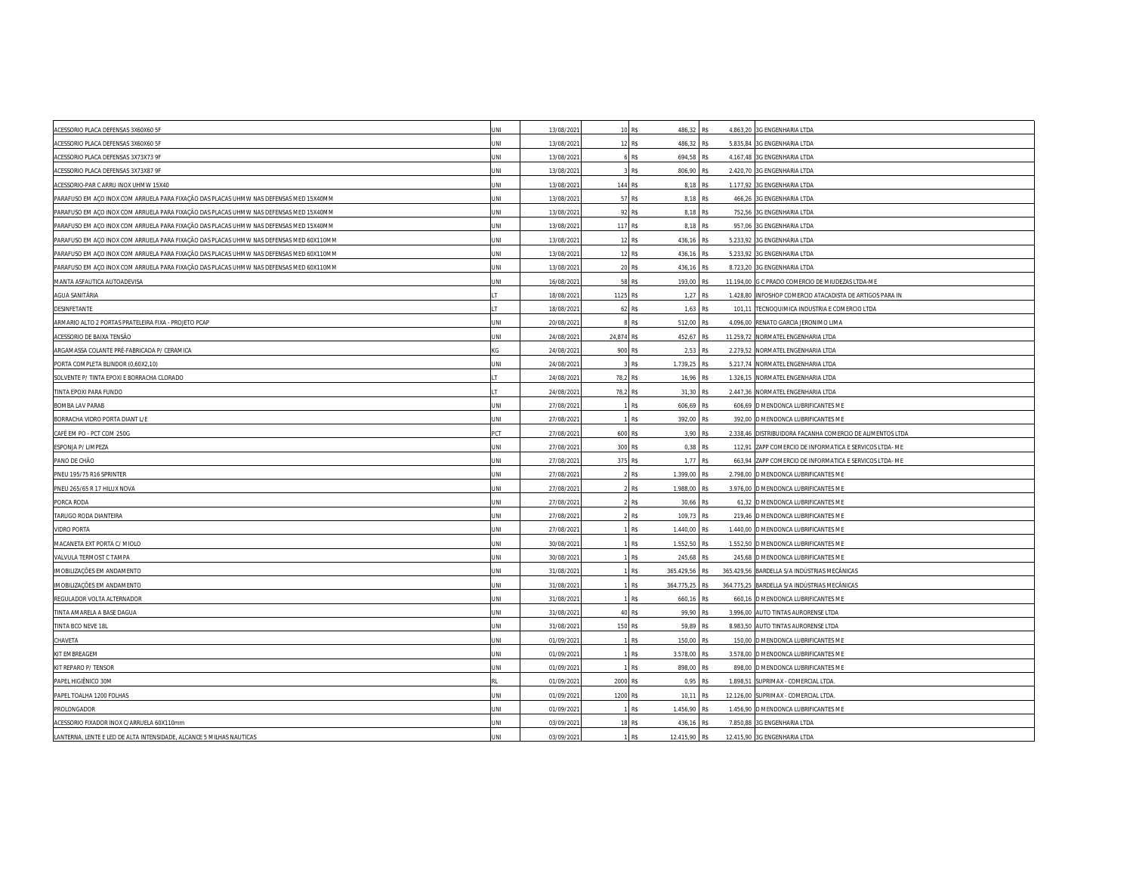| ACESSORIO PLACA DEFENSAS 3X60X60 5F                                                     | INI        | 13/08/202  |            | 10 R\$                     | 486,32 R\$ | 4.863,20 3G ENGENHARIA LTDA                               |
|-----------------------------------------------------------------------------------------|------------|------------|------------|----------------------------|------------|-----------------------------------------------------------|
| ACESSORIO PLACA DEFENSAS 3X60X60 5F                                                     | JNI        | 13/08/202  | 12         | R\$<br>486,32              | R\$        | 5.835,84 3G ENGENHARIA LTDA                               |
| ACESSORIO PLACA DEFENSAS 3X73X73 9F                                                     | JNI        | 13/08/2021 |            | R\$<br>694,58              | R\$        | 4.167,48 3G ENGENHARIA LTDA                               |
| ACESSORIO PLACA DEFENSAS 3X73X87 9F                                                     | INI        | 13/08/202  |            | <b>R\$</b>                 | 806.90 R\$ | 2.420,70 3G ENGENHARIA LTDA                               |
| ACESSORIO-PAR C ARRU INOX UHMW 15X40                                                    | JNI        | 13/08/202  | 144 R\$    |                            | 8,18 R\$   | 1.177,92 3G ENGENHARIA LTDA                               |
| PARAFUSO EM AÇO INOX COM ARRUELA PARA FIXAÇÃO DAS PLACAS UHMW NAS DEFENSAS MED 15X40MM  | JNI        | 13/08/2021 |            | 57 R\$<br>8,18             | R\$        | 466,26 3G ENGENHARIA LTDA                                 |
| PARAFUSO EM ACO INOX COM ARRUELA PARA FIXAÇÃO DAS PLACAS UHMW NAS DEFENSAS MED 15X40MM  | INI        | 13/08/202  |            | 92 R\$                     | 8,18 R\$   | 752,56 3G ENGENHARIA LTDA                                 |
| PARAFUSO EM AÇO INOX COM ARRUELA PARA FIXAÇÃO DAS PLACAS UHMW NAS DEFENSAS MED 15X40MM  | <b>INL</b> | 13/08/202  | 117 R\$    |                            | 8,18 R\$   | 957,06 3G ENGENHARIA LTDA                                 |
| PARAFUSO EM ACO INOX COM ARRUELA PARA FIXAÇÃO DAS PLACAS UHMW NAS DEFENSAS MED 60X110MM | JNI        | 13/08/202  |            | 12 R\$<br>436,16           | R\$        | 5.233,92 3G ENGENHARIA LTDA                               |
| PARAFUSO EM ACO INOX COM ARRUELA PARA FIXAÇÃO DAS PLACAS UHMW NAS DEFENSAS MED 60X110MM | INI        | 13/08/202  |            | 12 R\$<br>436,16           | R\$        | 5.233,92 3G ENGENHARIA LTDA                               |
| PARAFUSO EM AÇO INOX COM ARRUELA PARA FIXAÇÃO DAS PLACAS UHMW NAS DEFENSAS MED 60X110MM | JNI        | 13/08/202  |            | 20 R\$<br>436,16           | R\$        | 8.723,20 3G ENGENHARIA LTDA                               |
| MANTA ASFAUTICA AUTOADEVISA                                                             | INI        | 16/08/202  | 58         | R\$<br>193,00              | R\$        | 11.194,00 G C PRADO COMERCIO DE MIUDEZAS LTDA-ME          |
| AGUA SANITÁRIA                                                                          |            | 18/08/202  | 1125 R\$   | 1,27                       | R\$        | 1.428,80 INFOSHOP COMERCIO ATACADISTA DE ARTIGOS PARA IN  |
| DESINFETANTE                                                                            |            | 18/08/202  |            | 62 R\$                     | 1,63 R\$   | 101,11 TECNOQUIMICA INDUSTRIA E COMERCIO LTDA             |
| ARMARIO ALTO 2 PORTAS PRATELEIRA FIXA - PROJETO PCAP                                    | INI        | 20/08/202  |            | 512.00<br>RS               | RS         | 4.096.00 RENATO GARCIA JERONIMO LIMA                      |
| ACESSORIO DE BAIXA TENSÃO                                                               | JNI        | 24/08/202  | 24,874 R\$ | 452,67                     | R\$        | 11.259,72 NORMATEL ENGENHARIA LTDA                        |
| ARGAMASSA COLANTE PRÉ-FABRICADA P/ CERAMICA                                             | KG         | 24/08/2021 | 900 R\$    |                            | 2,53 R\$   | 2.279,52 NORMATEL ENGENHARIA LTDA                         |
| PORTA COMPLETA BLINDOR (0,60X2,10)                                                      | INI        | 24/08/202  |            | R\$<br>1.739,25            | R\$        | 5.217,74 NORMATEL ENGENHARIA LTDA                         |
| SOLVENTE P/ TINTA EPOXI E BORRACHA CLORADO                                              |            | 24/08/202  | 78,2 R\$   | 16,96                      | R\$        | 1.326,15 NORMATEL ENGENHARIA LTDA                         |
| TINTA EPOXI PARA FUNDO                                                                  |            | 24/08/202  | 78,2 R\$   |                            | 31,30 R\$  | 2.447,36 NORMATEL ENGENHARIA LTDA                         |
| <b>BOMBA LAV PARAB</b>                                                                  | INI        | 27/08/202  |            | R\$<br>606,69              | R\$        | 606,69 D MENDONCA LUBRIFICANTES ME                        |
| BORRACHA VIDRO PORTA DIANT L/E                                                          | JNI        | 27/08/202  |            | R\$<br>392,00 R\$          |            | 392,00 D MENDONCA LUBRIFICANTES ME                        |
| CAFÉ EM PO - PCT COM 250G                                                               | <b>PCT</b> | 27/08/202  | 600 R\$    |                            | 3,90 R\$   | 2.338,46 DISTRIBUIDORA FACANHA COMERCIO DE ALIMENTOS LTDA |
| ESPONJA P/ LIMPEZA                                                                      | JNI        | 27/08/202  | 300 R\$    | 0,38                       | R\$        | 112,91 ZAPP COMERCIO DE INFORMATICA E SERVICOS LTDA- ME   |
| PANO DE CHÃO                                                                            | INI        | 27/08/2021 | 375 R\$    |                            | 1,77 R\$   | 663,94 ZAPP COMERCIO DE INFORMATICA E SERVICOS LTDA- ME   |
| PNEU 195/75 R16 SPRINTER                                                                | INI        | 27/08/202  |            | <b>R\$</b><br>1.399.00 R\$ |            | 2.798.00 D MENDONCA LUBRIFICANTES ME                      |
| PNEU 265/65 R 17 HILUX NOVA                                                             | JNI        | 27/08/202  |            | R\$<br>1.988,00            | R\$        | 3.976,00 D MENDONCA LUBRIFICANTES ME                      |
| PORCA RODA                                                                              | JNI        | 27/08/2021 |            | R\$<br>30,66               | R\$        | 61,32 D MENDONCA LUBRIFICANTES ME                         |
| TARUGO RODA DIANTEIRA                                                                   | JNI        | 27/08/202  |            | R\$                        | 109,73 R\$ | 219,46 D MENDONCA LUBRIFICANTES ME                        |
| <b>VIDRO PORTA</b>                                                                      | JNI        | 27/08/202  |            | R\$<br>1.440,00            | R\$        | 1.440,00 D MENDONCA LUBRIFICANTES ME                      |
| MACANETA EXT PORTA C/ MIOLO                                                             | INI        | 30/08/202  |            | 1.552,50<br>R\$            | R\$        | 1.552,50 D MENDONCA LUBRIFICANTES ME                      |
| VALVULA TERMOST C TAMPA                                                                 | INI        | 30/08/202  |            | R\$<br>245,68              | R\$        | 245,68 D MENDONCA LUBRIFICANTES ME                        |
| IMOBILIZAÇÕES EM ANDAMENTO                                                              | JNI        | 31/08/202  |            | <b>R\$</b><br>365.429.56   | R\$        | 365.429,56 BARDELLA S/A INDÚSTRIAS MECÂNICAS              |
| IMOBILIZAÇÕES EM ANDAMENTO                                                              | INI        | 31/08/202  |            | R\$<br>364.775,25          | R\$        | 364.775,25 BARDELLA S/A INDÚSTRIAS MECÂNICAS              |
| REGULADOR VOLTA ALTERNADOR                                                              | JNI        | 31/08/202  |            | R\$<br>660,16              | R\$        | 660,16 D MENDONCA LUBRIFICANTES ME                        |
| TINTA AMARELA A BASE DAGUA                                                              | JNI        | 31/08/202  |            | 40 R\$                     | 99,90 R\$  | 3.996,00 AUTO TINTAS AURORENSE LTDA                       |
| TINTA BCO NEVE 18L                                                                      | INI        | 31/08/2021 | 150 RS     |                            | 59,89 R\$  | 8.983,50 AUTO TINTAS AURORENSE LTDA                       |
| CHAVETA                                                                                 | JNI        | 01/09/202  |            | R\$<br>150,00              | R\$        | 150,00 D MENDONCA LUBRIFICANTES ME                        |
| KIT EMBREAGEM                                                                           | JNI        | 01/09/202  |            | R\$<br>3.578,00 R\$        |            | 3.578,00 D MENDONCA LUBRIFICANTES ME                      |
| KIT REPARO P/ TENSOR                                                                    | INI        | 01/09/202  |            | R\$<br>898,00              | R\$        | 898,00 D MENDONCA LUBRIFICANTES ME                        |
| PAPEL HIGIÊNICO 30M                                                                     |            | 01/09/202  | 2000 R\$   | 0,95                       | R\$        | 1.898,51 SUPRIMAX - COMERCIAL LTDA.                       |
| PAPEL TOALHA 1200 FOLHAS                                                                | JNI        | 01/09/2021 | 1200 R\$   |                            | 10.11 R\$  | 12.126,00 SUPRIMAX - COMERCIAL LTDA.                      |
| PROLONGADOR                                                                             | INI        | 01/09/202  |            | R\$<br>1.456,90            | R\$        | 1.456,90 D MENDONCA LUBRIFICANTES ME                      |
| ACESSORIO FIXADOR INOX C/ARRUELA 60X110mm                                               | JNI        | 03/09/202  | 18         | R\$<br>436,16              | R\$        | 7.850,88 3G ENGENHARIA LTDA                               |
| LANTERNA, LENTE E LED DE ALTA INTENSIDADE, ALCANCE 5 MILHAS NAUTICAS                    | INI        | 03/09/202  |            | R\$<br>12.415.90 R\$       |            | 12.415,90 3G ENGENHARIA LTDA                              |
|                                                                                         |            |            |            |                            |            |                                                           |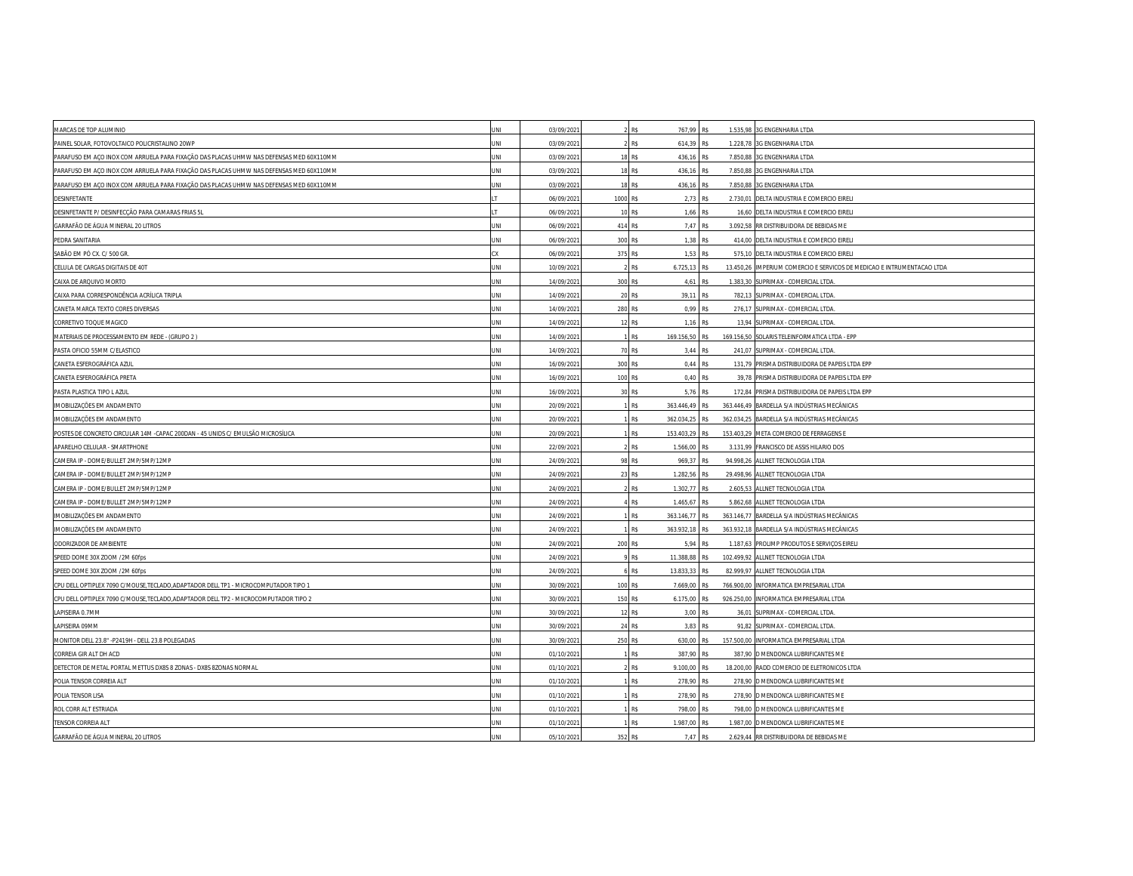| MARCAS DE TOP ALUMINIO                                                                  | JNI        | 03/09/2021 |          | <b>R\$</b><br>767,99 R\$ |           | 1.535,98 3G ENGENHARIA LTDA                                            |
|-----------------------------------------------------------------------------------------|------------|------------|----------|--------------------------|-----------|------------------------------------------------------------------------|
| PAINEL SOLAR, FOTOVOLTAICO POLICRISTALINO 20WP                                          | INI        | 03/09/202  |          | R\$<br>614,39            | R\$       | 1.228,78 3G ENGENHARIA LTDA                                            |
| PARAFUSO EM AÇO INOX COM ARRUELA PARA FIXAÇÃO DAS PLACAS UHMW NAS DEFENSAS MED 60X110MM | JNI        | 03/09/202  |          | R\$<br>436,16            | R\$       | 7.850,88 3G ENGENHARIA LTDA                                            |
| PARAFUSO EM AÇO INOX COM ARRUELA PARA FIXAÇÃO DAS PLACAS UHMW NAS DEFENSAS MED 60X110MM | INI        | 03/09/202  |          | 18 RS<br>436,16          | R\$       | 7.850,88 3G ENGENHARIA LTDA                                            |
| PARAFUSO EM AÇO INOX COM ARRUELA PARA FIXAÇÃO DAS PLACAS UHMW NAS DEFENSAS MED 60X110MM | JNI        | 03/09/202  | 18       | R\$<br>436,16            | R\$       | 7.850,88 3G ENGENHARIA LTDA                                            |
| DESINFETANTE                                                                            |            | 06/09/2021 | 1000 R\$ | 2,73                     | R\$       | 2.730,01 DELTA INDUSTRIA E COMERCIO EIRELI                             |
| DESINFETANTE P/ DESINFECÇÃO PARA CAMARAS FRIAS 5L                                       |            | 06/09/202  |          | 10 R\$<br>1,66           | R\$       | 16,60 DELTA INDUSTRIA E COMERCIO EIRELI                                |
| GARRAFÃO DE ÁGUA MINERAL 20 LITROS                                                      | INI        | 06/09/202  | 414 R\$  |                          | 7,47 R\$  | 3.092,58 RR DISTRIBUIDORA DE BEBIDAS ME                                |
| PEDRA SANITARIA                                                                         | INI        | 06/09/2021 | 300 R\$  | 1,38                     | R\$       | 414,00 DELTA INDUSTRIA E COMERCIO EIRELI                               |
| SABÃO EM PÓ CX. C/ 500 GR.                                                              |            | 06/09/202  | 375 R\$  |                          | 1,53 R\$  | 575,10 DELTA INDUSTRIA E COMERCIO EIRELI                               |
| CELULA DE CARGAS DIGITAIS DE 40T                                                        | JNI        | 10/09/202  |          | R\$<br>6.725,13 R\$      |           | 13.450,26 IMPERIUM COMERCIO E SERVICOS DE MEDICAO E INTRUMENTACAO LTDA |
| CAIXA DE ARQUIVO MORTO                                                                  | <b>INL</b> | 14/09/2021 | 300 R\$  | 4,61                     | R\$       | 1.383,30 SUPRIMAX - COMERCIAL LTDA.                                    |
| CAIXA PARA CORRESPONDÊNCIA ACRÍLICA TRIPLA                                              | INI        | 14/09/202  | 20       | R\$                      | 39,11 R\$ | 782,13 SUPRIMAX - COMERCIAL LTDA                                       |
| CANETA MARCA TEXTO CORES DIVERSAS                                                       | INI        | 14/09/202  | 280 R\$  |                          | 0,99 R\$  | 276,17 SUPRIMAX - COMERCIAL LTDA.                                      |
| CORRETIVO TOQUE MAGICO                                                                  | JNI        | 14/09/2021 |          | 12 RS<br>1,16            | R\$       | 13,94 SUPRIMAX - COMERCIAL LTDA.                                       |
| MATERIAIS DE PROCESSAMENTO EM REDE - (GRUPO 2)                                          | JNI        | 14/09/202  |          | R\$<br>169.156,50        | R\$       | 169.156,50 SOLARIS TELEINFORMATICA LTDA - EPP                          |
| PASTA OFICIO 55MM C/ELASTICO                                                            | JNI        | 14/09/202  |          | 70 R\$                   | 3,44 R\$  | 241,07 SUPRIMAX - COMERCIAL LTDA.                                      |
| CANETA ESFEROGRÁFICA AZUL                                                               | JNI        | 16/09/2021 | 300 RS   |                          | 0.44 R\$  | 131,79 PRISMA DISTRIBUIDORA DE PAPEIS LTDA EPP                         |
| CANETA ESFEROGRÁFICA PRETA                                                              | JNI        | 16/09/202  | 100 RS   |                          | 0.40 R\$  | 39,78 PRISMA DISTRIBUIDORA DE PAPEIS LTDA EPP                          |
| PASTA PLASTICA TIPO L AZUL                                                              | <b>INL</b> | 16/09/202  |          | 30 R\$                   | 5,76 R\$  | 172,84 PRISMA DISTRIBUIDORA DE PAPEIS LTDA EPP                         |
| IMOBILIZAÇÕES EM ANDAMENTO                                                              | INI        | 20/09/202  |          | R\$<br>363.446,49        | R\$       | 363.446,49 BARDELLA S/A INDÚSTRIAS MECÂNICAS                           |
| IMOBILIZAÇÕES EM ANDAMENTO                                                              | JNI        | 20/09/202  |          | R\$<br>362.034,25        | R\$       | 362.034,25 BARDELLA S/A INDÚSTRIAS MECÂNICAS                           |
| POSTES DE CONCRETO CIRCULAR 14M - CAPAC 200DAN - 45 UNIDS C/ EMULSÃO MICROSÍLICA        | JNI        | 20/09/202  |          | 153.403.29<br>R\$        | R\$       | 153.403,29 META COMERCIO DE FERRAGENS E                                |
| APARELHO CELULAR - SMARTPHONE                                                           | JNI        | 22/09/202  |          | R\$<br>1.566,00          | R\$       | 3.131,99 FRANCISCO DE ASSIS HILARIO DOS                                |
| CAMERA IP - DOME/BULLET 2MP/5MP/12MP                                                    | JNI        | 24/09/202  | 98       | R\$<br>969,37            | R\$       | 94.998,26 ALLNET TECNOLOGIA LTDA                                       |
| CAMERA IP - DOME/BULLET 2MP/5MP/12MP                                                    | JNI        | 24/09/202  |          | 1.282.56<br>23 RS        | RS        | 29.498,96 ALLNET TECNOLOGIA LTDA                                       |
| CAMERA IP - DOME/BULLET 2MP/5MP/12MP                                                    | JNI        | 24/09/202  |          | R\$<br>1.302,77          | R\$       | 2.605,53 ALLNET TECNOLOGIA LTDA                                        |
| CAMERA IP - DOME/BULLET 2MP/5MP/12MP                                                    | JNI        | 24/09/202  |          | R\$<br>1.465,67          | R\$       | 5.862,68 ALLNET TECNOLOGIA LTDA                                        |
| IMOBILIZAÇÕES EM ANDAMENTO                                                              | JNI        | 24/09/202  |          | R\$<br>363.146.77        | R\$       | 363.146,77 BARDELLA S/A INDÚSTRIAS MECÂNICAS                           |
| IMOBILIZAÇÕES EM ANDAMENTO                                                              | JNI        | 24/09/202  |          | R\$<br>363.932,18        | R\$       | 363.932,18 BARDELLA S/A INDÚSTRIAS MECÂNICAS                           |
| ODORIZADOR DE AMBIENTE                                                                  | INI        | 24/09/202  | 200 R\$  | 5,94                     | R\$       | 1.187,63 PROLIMP PRODUTOS E SERVIÇOS EIRELI                            |
| SPEED DOME 30X ZOOM /2M 60fps                                                           | INI        | 24/09/202  |          | R\$<br>11.388,88         | R\$       | 102.499,92 ALLNET TECNOLOGIA LTDA                                      |
| SPEED DOME 30X ZOOM /2M 60fps                                                           | INI        | 24/09/202  |          | R\$<br>13.833,33         | R\$       | 82.999,97 ALLNET TECNOLOGIA LTDA                                       |
| CPU DELL OPTIPLEX 7090 C/MOUSE, TECLADO, ADAPTADOR DELL TP1 - MICROCOMPUTADOR TIPO 1    | JNI        | 30/09/202  | 100 RS   | 7.669.00                 | R\$       | 766.900.00 INFORMATICA EMPRESARIAL LTDA                                |
| CPU DELL OPTIPLEX 7090 C/MOUSE, TECLADO, ADAPTADOR DELL TP2 - MIICROCOMPUTADOR TIPO 2   | JNI        | 30/09/202  | 150 R\$  | 6.175,00                 | R\$       | 926.250,00 INFORMATICA EMPRESARIAL LTDA                                |
| LAPISEIRA 0.7MM                                                                         | JNI        | 30/09/202  |          | 12 R\$<br>3,00           | R\$       | 36,01 SUPRIMAX - COMERCIAL LTDA.                                       |
| LAPISEIRA 09MM                                                                          | INI        | 30/09/2021 |          | 24 RS                    | 3,83 R\$  | 91,82 SUPRIMAX - COMERCIAL LTDA.                                       |
| MONITOR DELL 23.8" - P2419H - DELL 23.8 POLEGADAS                                       | JNI        | 30/09/202  | 250 R\$  | 630,00                   | R\$       | 157.500,00 INFORMATICA EMPRESARIAL LTDA                                |
| CORREIA GIR ALT DH ACD                                                                  | INI        | 01/10/202  |          | <b>R\$</b><br>387.90 R\$ |           | 387,90 D MENDONCA LUBRIFICANTES ME                                     |
| DETECTOR DE METAL PORTAL METTUS DX8S 8 ZONAS - DX8S 8ZONAS NORMAL                       | JNI        | 01/10/202  |          | R\$<br>9.100,00          | R\$       | 18.200,00 RADD COMERCIO DE ELETRONICOS LTDA                            |
| POLIA TENSOR CORREIA ALT                                                                | JNI        | 01/10/202  |          | R\$<br>278,90            | R\$       | 278,90 D MENDONCA LUBRIFICANTES ME                                     |
| POLIA TENSOR LISA                                                                       | JNI        | 01/10/2021 |          | <b>R\$</b><br>278.90 R\$ |           | 278,90 D MENDONCA LUBRIFICANTES ME                                     |
| ROL CORR ALT ESTRIADA                                                                   | INI        | 01/10/202  |          | R\$<br>798,00            | R\$       | 798,00 D MENDONCA LUBRIFICANTES ME                                     |
| TENSOR CORREIA ALT                                                                      | JNI        | 01/10/202  |          | R\$<br>1.987.00          | R\$       | 1.987,00 D MENDONCA LUBRIFICANTES ME                                   |
| GARRAFÃO DE ÁGUA MINERAL 20 LITROS                                                      | INI        | 05/10/2021 | 352 R\$  |                          | 7,47 R\$  | 2.629,44 RR DISTRIBUIDORA DE BEBIDAS ME                                |
|                                                                                         |            |            |          |                          |           |                                                                        |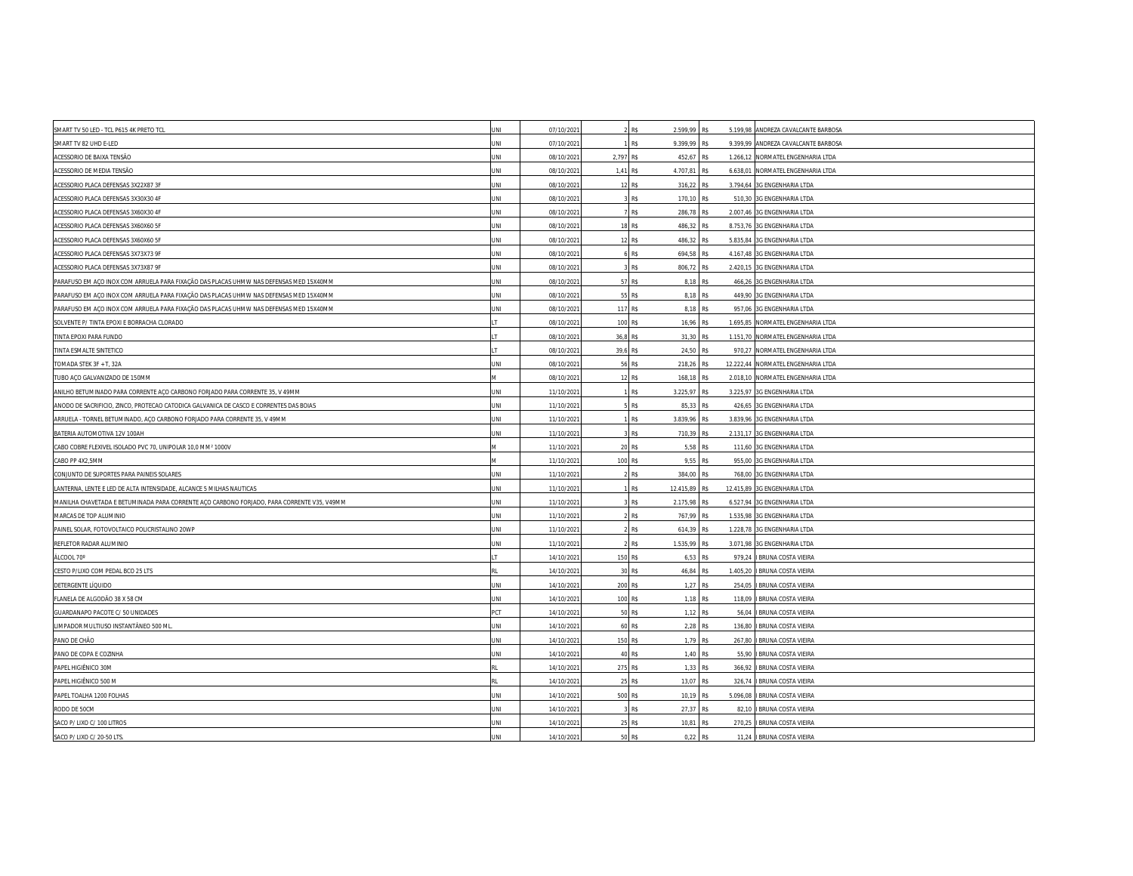| SMART TV 50 LED - TCL P615 4K PRETO TCL                                                    | JNI        | 07/10/2021 |           | <b>R\$</b><br>2.599,99 R\$  |               | 5.199,98 ANDREZA CAVALCANTE BARBOSA |
|--------------------------------------------------------------------------------------------|------------|------------|-----------|-----------------------------|---------------|-------------------------------------|
| SMART TV 82 UHD E-LED                                                                      | INI        | 07/10/202  |           | R\$<br>9.399,99             | R\$           | 9.399,99 ANDREZA CAVALCANTE BARBOSA |
| ACESSORIO DE BAIXA TENSÃO                                                                  | JNI        | 08/10/2021 | 2,797 R\$ | 452,67                      | R\$           | 1.266,12 NORMATEL ENGENHARIA LTDA   |
| ACESSORIO DE MEDIA TENSÃO                                                                  | INI        | 08/10/202  | 1.41 R\$  | 4.707.81                    | R\$           | 6.638,01 NORMATEL ENGENHARIA LTDA   |
| ACESSORIO PLACA DEFENSAS 3X22X87 3F                                                        | JNI        | 08/10/202  | 12        | R\$<br>316,22 R\$           |               | 3.794,64 3G ENGENHARIA LTDA         |
| ACESSORIO PLACA DEFENSAS 3X30X30 4F                                                        | JNI        | 08/10/2021 |           | R\$<br>170,10               | R\$           | 510,30 3G ENGENHARIA LTDA           |
| ACESSORIO PLACA DEFENSAS 3X60X30 4F                                                        | JNI        | 08/10/202  |           | <b>R\$</b><br>286.78 R\$    |               | 2.007,46 3G ENGENHARIA LTDA         |
| ACESSORIO PLACA DEFENSAS 3X60X60 5F                                                        | JNI        | 08/10/202  |           | 18 R\$<br>486,32 R\$        |               | 8.753,76 3G ENGENHARIA LTDA         |
| ACESSORIO PLACA DEFENSAS 3X60X60 5F                                                        | <b>INL</b> | 08/10/2021 |           | 12 R\$<br>486,32            | R\$           | 5.835,84 3G ENGENHARIA LTDA         |
| ACESSORIO PLACA DEFENSAS 3X73X73 9F                                                        | INI        | 08/10/202  |           | <b>R\$</b><br>694,58        | R\$           | 4.167,48 3G ENGENHARIA LTDA         |
| ACESSORIO PLACA DEFENSAS 3X73X87 9F                                                        | JNI        | 08/10/202  |           | R\$<br>806,72 R\$           |               | 2.420,15 3G ENGENHARIA LTDA         |
| PARAFUSO EM ACO INOX COM ARRUELA PARA FIXAÇÃO DAS PLACAS UHMW NAS DEFENSAS MED 15X40MM     | INI        | 08/10/202  | 57        | R\$<br>8.18                 | R\$           | 466,26 3G ENGENHARIA LTDA           |
| PARAFUSO EM AÇO INOX COM ARRUELA PARA FIXAÇÃO DAS PLACAS UHMW NAS DEFENSAS MED 15X40MM     | JNI        | 08/10/202  |           | 55 R\$                      | 8,18 R\$      | 449,90 3G ENGENHARIA LTDA           |
| PARAFUSO EM AÇO INOX COM ARRUELA PARA FIXAÇÃO DAS PLACAS UHMW NAS DEFENSAS MED 15X40MM     | JNI        | 08/10/202  | 117 R\$   |                             | 8,18 R\$      | 957,06 3G ENGENHARIA LTDA           |
| SOLVENTE P/ TINTA EPOXI E BORRACHA CLORADO                                                 |            | 08/10/202  | 100 RS    | 16.96                       | RS            | 1.695,85 NORMATEL ENGENHARIA LTDA   |
| TINTA EPOXI PARA FUNDO                                                                     |            | 08/10/202  | 36,8 R\$  | 31,30                       | R\$           | 1.151,70 NORMATEL ENGENHARIA LTDA   |
| TINTA ESMALTE SINTETICO                                                                    |            | 08/10/2021 | 39,6 R\$  | 24,50                       | R\$           | 970,27 NORMATEL ENGENHARIA LTDA     |
| TOMADA STEK 3F + T, 32A                                                                    | INI        | 08/10/202  | 56        | R\$<br>218,26               | R\$           | 12.222,44 NORMATEL ENGENHARIA LTDA  |
| TUBO AÇO GALVANIZADO DE 150MM                                                              |            | 08/10/202  | 12        | 168,18<br>R\$               | R\$           | 2.018,10 NORMATEL ENGENHARIA LTDA   |
| ANILHO BETUMINADO PARA CORRENTE ACO CARBONO FORJADO PARA CORRENTE 35. V 49MM               | JNI        | 11/10/202  |           | <b>R\$</b><br>3.225,97 R\$  |               | 3.225,97 3G ENGENHARIA LTDA         |
| ANODO DE SACRIFICIO, ZINCO, PROTECAO CATODICA GALVANICA DE CASCO E CORRENTES DAS BOIAS     | JNI        | 11/10/202  |           | R\$<br>85,33                | R\$           | 426,65 3G ENGENHARIA LTDA           |
| ARRUELA - TORNEL BETUMINADO, AÇO CARBONO FORJADO PARA CORRENTE 35, V 49MM                  | INI        | 11/10/2021 |           | 3.839,96<br>R\$             | R\$           | 3.839,96 3G ENGENHARIA LTDA         |
| BATERIA AUTOMOTIVA 12V 100AH                                                               | INI        | 11/10/202  |           | R\$<br>710,39 R\$           |               | 2.131,17 3G ENGENHARIA LTDA         |
| CABO COBRE FLEXIVEL ISOLADO PVC 70, UNIPOLAR 10,0 MM <sup>2</sup> 1000V                    |            | 11/10/202  |           | 20 R\$<br>5,58              | R\$           | 111,60 3G ENGENHARIA LTDA           |
| CABO PP 4X2,5MM                                                                            |            | 11/10/2021 | 100 R\$   | 9,55                        | R\$           | 955,00 3G ENGENHARIA LTDA           |
| CONJUNTO DE SUPORTES PARA PAINEIS SOLARES                                                  | INI        | 11/10/202  |           | R\$<br>384,00 R\$           |               | 768,00 3G ENGENHARIA LTDA           |
| LANTERNA, LENTE E LED DE ALTA INTENSIDADE, ALCANCE 5 MILHAS NAUTICAS                       | INI        | 11/10/202  |           | <b>R\$</b><br>12.415,89 R\$ |               | 12.415,89 3G ENGENHARIA LTDA        |
| MANILHA CHAVETADA E BETUMINADA PARA CORRENTE AÇO CARBONO FORJADO, PARA CORRENTE V35, V49MM | JNI        | 11/10/2021 |           | R\$<br>2.175,98             | R\$           | 6.527,94 3G ENGENHARIA LTDA         |
| MARCAS DE TOP ALUMINIO                                                                     | JNI        | 11/10/202  |           | R\$<br>767,99               | R\$           | 1.535,98 3G ENGENHARIA LTDA         |
| PAINEL SOLAR, FOTOVOLTAICO POLICRISTALINO 20WP                                             | <b>INL</b> | 11/10/202  |           | R\$<br>614,39               | R\$           | 1.228,78 3G ENGENHARIA LTDA         |
| REFLETOR RADAR ALUMINIO                                                                    | INI        | 11/10/202  |           | 1.535,99 R\$<br>R\$         |               | 3.071,98 3G ENGENHARIA LTDA         |
| ÁLCOOL 70°                                                                                 |            | 14/10/202  |           | 150 R\$<br>6,53             | R\$           | 979,24 I BRUNA COSTA VIEIRA         |
| CESTO P/LIXO COM PEDAL BCO 25 LTS                                                          |            | 14/10/202  |           | 30 R\$                      | 46,84 R\$     | 1.405,20   BRUNA COSTA VIEIRA       |
| DETERGENTE LÍQUIDO                                                                         | JNI        | 14/10/202  | 200 R\$   |                             | 1,27 R\$      | 254,05   BRUNA COSTA VIEIRA         |
| FLANELA DE ALGODÃO 38 X 58 CM                                                              | JNI        | 14/10/2021 | 100 R\$   | 1,18                        | R\$           | 118,09   BRUNA COSTA VIEIRA         |
| GUARDANAPO PACOTE C/ 50 UNIDADES                                                           | PCT        | 14/10/202  |           | 50 R\$                      | 1,12 R\$      | 56,04 I BRUNA COSTA VIEIRA          |
| LIMPADOR MULTIUSO INSTANTÂNEO 500 ML                                                       | JNI        | 14/10/202  |           | 60 R\$                      | 2,28 R\$      | 136,80   BRUNA COSTA VIEIRA         |
| PANO DE CHÃO                                                                               | <b>INL</b> | 14/10/2021 | 150 R\$   |                             | 1,79 R\$      | 267,80   BRUNA COSTA VIEIRA         |
| PANO DE COPA E COZINHA                                                                     | INI        | 14/10/202  |           | 40 R\$                      | 1,40 R\$      | 55,90   BRUNA COSTA VIEIRA          |
| PAPEL HIGIÊNICO 30M                                                                        |            | 14/10/202  | 275 R\$   |                             | 1,33 R\$      | 366,92 I BRUNA COSTA VIEIRA         |
| PAPEL HIGIÊNICO 500 M                                                                      |            | 14/10/202  |           | 25 R\$<br>13,07             | R <sup></sup> | 326,74 I BRUNA COSTA VIEIRA         |
| PAPEL TOALHA 1200 FOLHAS                                                                   | JNI        | 14/10/202  | 500 R\$   |                             | 10,19 R\$     | 5.096,08   BRUNA COSTA VIEIRA       |
| RODO DE 50CM                                                                               | INI        | 14/10/202  |           | R\$<br>27,37 R\$            |               | 82,10   BRUNA COSTA VIEIRA          |
| SACO P/ LIXO C/ 100 LITROS                                                                 | JNI        | 14/10/2021 | 25        | R\$<br>10.81                | R\$           | 270,25 I BRUNA COSTA VIEIRA         |
| SACO P/ LIXO C/ 20-50 LTS.                                                                 | JNI        | 14/10/2021 |           | 50 R\$<br>0,22              | R\$           | 11,24 I BRUNA COSTA VIEIRA          |
|                                                                                            |            |            |           |                             |               |                                     |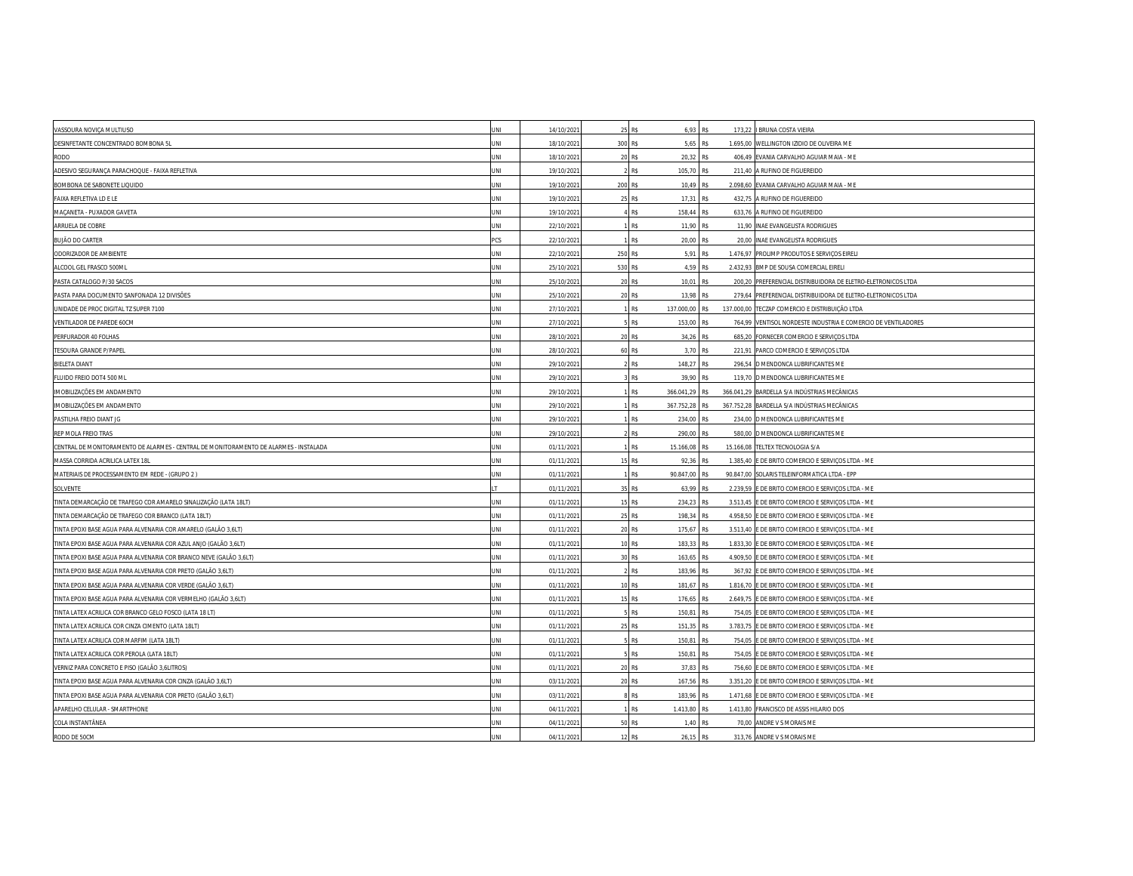| VASSOURA NOVIÇA MULTIUSO                                                              | JNI | 14/10/2021 |         | 25 R\$                      | 6,93 R\$     |          | 173,22   BRUNA COSTA VIEIRA                                   |
|---------------------------------------------------------------------------------------|-----|------------|---------|-----------------------------|--------------|----------|---------------------------------------------------------------|
| DESINFETANTE CONCENTRADO BOMBONA 5L                                                   | INI | 18/10/202  | 300 R\$ |                             | 5,65 R\$     |          | 1.695,00 WELLINGTON IZIDIO DE OLIVEIRA ME                     |
| RODO                                                                                  | JNI | 18/10/202  |         | 20 R\$                      | 20,32<br>R\$ |          | 406,49 EVANIA CARVALHO AGUIAR MAIA - ME                       |
| ADESIVO SEGURANÇA PARACHOQUE - FAIXA REFLETIVA                                        | INI | 19/10/202  |         | <b>R\$</b>                  | 105.70 R\$   |          | 211,40 A RUFINO DE FIGUEREIDO                                 |
| BOMBONA DE SABONETE LIQUIDO                                                           | JNI | 19/10/202  | 200 R\$ |                             | 10,49 R\$    |          | 2.098,60 EVANIA CARVALHO AGUIAR MAIA - ME                     |
| FAIXA REFLETIVA LD E LE                                                               | JNI | 19/10/202  | 25 R\$  |                             | 17,31<br>R\$ |          | 432,75 A RUFINO DE FIGUEREIDO                                 |
| MAÇANETA - PUXADOR GAVETA                                                             | JNI | 19/10/202  |         | <b>R\$</b>                  | 158.44 R\$   |          | 633,76 A RUFINO DE FIGUEREIDO                                 |
| ARRUELA DE COBRE                                                                      | INI | 22/10/202  |         | R\$                         | 11,90 R\$    |          | 11,90 INAE EVANGELISTA RODRIGUES                              |
| <b>BUJÃO DO CARTER</b>                                                                | PCS | 22/10/202  |         | R\$                         | 20,00<br>R\$ |          | 20,00 INAE EVANGELISTA RODRIGUES                              |
| ODORIZADOR DE AMBIENTE                                                                | INI | 22/10/202  | 250 R\$ |                             | 5,91<br>R\$  |          | 1.476,97 PROLIMP PRODUTOS E SERVIÇOS EIRELI                   |
| ALCOOL GEL FRASCO 500ML                                                               | JNI | 25/10/202  | 530 R\$ |                             | 4,59 R\$     |          | 2.432,93 BMP DE SOUSA COMERCIAL EIRELI                        |
| PASTA CATALOGO P/30 SACOS                                                             | JNI | 25/10/202  | 20 R\$  |                             | 10,01<br>R\$ |          | 200,20 PREFERENCIAL DISTRIBUIDORA DE ELETRO-ELETRONICOS LTDA  |
| PASTA PARA DOCUMENTO SANFONADA 12 DIVISÕES                                            | INI | 25/10/202  |         | 20 R\$                      | 13.98 R\$    |          | 279,64 PREFERENCIAL DISTRIBUIDORA DE ELETRO-ELETRONICOS LTDA  |
| UNIDADE DE PROC DIGITAL TZ SUPER 7100                                                 | JNI | 27/10/202  |         | R\$<br>137.000,00 R\$       |              |          | 137.000,00 TECZAP COMERCIO E DISTRIBUIÇÃO LTDA                |
| VENTILADOR DE PAREDE 60CM                                                             | INI | 27/10/202  |         | R\$<br>153,00               |              |          | 764,99 VENTISOL NORDESTE INDUSTRIA E COMERCIO DE VENTILADORES |
| PERFURADOR 40 FOLHAS                                                                  | JNI | 28/10/202  |         | 20 R\$                      | 34,26<br>R\$ |          | 685,20 FORNECER COMERCIO E SERVIÇOS LTDA                      |
| TESOURA GRANDE P/PAPEL                                                                | JNI | 28/10/202  | 60 R\$  |                             | 3,70 R\$     |          | 221,91 PARCO COMERCIO E SERVIÇOS LTDA                         |
| <b>BIELETA DIANT</b>                                                                  | JNI | 29/10/202  |         | R\$<br>148,27               | R\$          |          | 296,54 D MENDONCA LUBRIFICANTES ME                            |
| FLUIDO FREIO DOT4 500 ML                                                              | INI | 29/10/202  |         | R\$                         | 39,90<br>R\$ |          | 119,70 D MENDONCA LUBRIFICANTES ME                            |
| IMOBILIZAÇÕES EM ANDAMENTO                                                            | JNI | 29/10/202  |         | <b>R\$</b><br>366.041.29    | <b>R\$</b>   |          | 366.041,29 BARDELLA S/A INDÚSTRIAS MECÂNICAS                  |
| IMOBILIZAÇÕES EM ANDAMENTO                                                            | JNI | 29/10/202  |         | 367.752,28<br>R\$           | R\$          |          | 367.752,28 BARDELLA S/A INDÚSTRIAS MECÂNICAS                  |
| PASTILHA FREIO DIANT JG                                                               | JNI | 29/10/202  |         | 234,00<br>R\$               | R\$          |          | 234,00 D MENDONCA LUBRIFICANTES ME                            |
| REP MOLA FREIO TRAS                                                                   | JNI | 29/10/202  |         | R\$<br>290,00               | R\$          |          | 580,00 D MENDONCA LUBRIFICANTES ME                            |
| CENTRAL DE MONITORAMENTO DE ALARMES - CENTRAL DE MONITORAMENTO DE ALARMES - INSTALADA | JNI | 01/11/202  |         | R\$<br>15.166,08            | R\$          |          | 15.166,08 TELTEX TECNOLOGIA S/A                               |
| MASSA CORRIDA ACRILICA LATEX 18L                                                      | INI | 01/11/202  | 15      | 92,36<br>R\$                | R\$          |          | 1.385,40 E DE BRITO COMERCIO E SERVIÇOS LTDA - ME             |
| MATERIAIS DE PROCESSAMENTO EM REDE - (GRUPO 2)                                        | INI | 01/11/202  |         | <b>R\$</b><br>90.847.00 R\$ |              |          | 90.847.00 SOLARIS TELEINFORMATICA LTDA - EPP                  |
| SOLVENTE                                                                              |     | 01/11/202  |         | 35 R\$                      | 63,99<br>R\$ |          | 2.239,59 E DE BRITO COMERCIO E SERVIÇOS LTDA - ME             |
| TINTA DEMARCAÇÃO DE TRAFEGO COR AMARELO SINALIZAÇÃO (LATA 18LT)                       | INI | 01/11/2021 |         | R\$<br>234,23               | R\$          |          | 3.513,45 E DE BRITO COMERCIO E SERVIÇOS LTDA - ME             |
| TINTA DEMARCAÇÃO DE TRAFEGO COR BRANCO (LATA 18LT)                                    | INI | 01/11/202  |         | 25 RS                       | 198,34 R\$   |          | 4.958,50 E DE BRITO COMERCIO E SERVIÇOS LTDA - ME             |
| TINTA EPOXI BASE AGUA PARA ALVENARIA COR AMARELO (GALÃO 3,6LT)                        | JNI | 01/11/202  | 20 RS   | 175,67                      | R\$          |          | 3.513,40 E DE BRITO COMERCIO E SERVIÇOS LTDA - ME             |
| INTA EPOXI BASE AGUA PARA ALVENARIA COR AZUL ANJO (GALÃO 3,6LT)                       | INI | 01/11/2021 |         | 10 R\$<br>183,33            | R\$          |          | 1.833,30 E DE BRITO COMERCIO E SERVIÇOS LTDA - ME             |
| TINTA EPOXI BASE AGUA PARA ALVENARIA COR BRANCO NEVE (GALÃO 3,6LT)                    | JNI | 01/11/202  |         | 30 R\$<br>163,65            | R\$          |          | 4.909,50 E DE BRITO COMERCIO E SERVIÇOS LTDA - ME             |
| TINTA EPOXI BASE AGUA PARA ALVENARIA COR PRETO (GALÃO 3,6LT)                          | JNI | 01/11/202  |         | R\$<br>183,96               | R\$          |          | 367,92 E DE BRITO COMERCIO E SERVIÇOS LTDA - ME               |
| INTA EPOXI BASE AGUA PARA ALVENARIA COR VERDE (GALÃO 3,6LT)                           | JNI | 01/11/2021 |         | 10 R\$<br>181,67            | R\$          |          | 1.816,70 E DE BRITO COMERCIO E SERVIÇOS LTDA - ME             |
| TINTA EPOXI BASE AGUA PARA ALVENARIA COR VERMELHO (GALÃO 3,6LT)                       | JNI | 01/11/2021 |         | 15 R\$<br>176,65            | R\$          |          | 2.649,75 E DE BRITO COMERCIO E SERVIÇOS LTDA - ME             |
| TINTA LATEX ACRILICA COR BRANCO GELO FOSCO (LATA 18 LT)                               | JNI | 01/11/202  |         | R\$<br>150,81               | R\$          |          | 754,05 E DE BRITO COMERCIO E SERVIÇOS LTDA - ME               |
| INTA LATEX ACRILICA COR CINZA CIMENTO (LATA 18LT)                                     | INI | 01/11/202  |         | R\$<br>151,35               | R\$          | 3.783,75 | E DE BRITO COMERCIO E SERVIÇOS LTDA - ME                      |
| TINTA LATEX ACRILICA COR MARFIM (LATA 18LT)                                           | JNI | 01/11/2021 |         | R\$<br>150,81               | R\$          |          | 754,05 E DE BRITO COMERCIO E SERVIÇOS LTDA - ME               |
| TINTA LATEX ACRILICA COR PEROLA (LATA 18LT)                                           | JNI | 01/11/202  |         | <b>R\$</b><br>150.81        | R\$          |          | 754,05 E DE BRITO COMERCIO E SERVIÇOS LTDA - ME               |
| VERNIZ PARA CONCRETO E PISO (GALÃO 3,6LITROS)                                         | JNI | 01/11/202  | 20      | 37,83<br>R\$                | R\$          |          | 756,60 E DE BRITO COMERCIO E SERVIÇOS LTDA - ME               |
| TINTA EPOXI BASE AGUA PARA ALVENARIA COR CINZA (GALÃO 3,6LT)                          | INI | 03/11/2021 |         | 20 R\$<br>167,56            | R\$          |          | 3.351,20 E DE BRITO COMERCIO E SERVIÇOS LTDA - ME             |
| TINTA EPOXI BASE AGUA PARA ALVENARIA COR PRETO (GALÃO 3,6LT)                          | INI | 03/11/202  |         | <b>R\$</b>                  | 183,96 R\$   |          | 1.471,68 E DE BRITO COMERCIO E SERVIÇOS LTDA - ME             |
| APARELHO CELULAR - SMARTPHONE                                                         | INI | 04/11/202  |         | 1.413,80<br>R\$             | R\$          |          | 1.413,80 FRANCISCO DE ASSIS HILARIO DOS                       |
| COLA INSTANTÂNEA                                                                      | INI | 04/11/2021 | 50      | R\$                         | 1.40<br>R\$  |          | 70,00 ANDRE V S MORAIS ME                                     |
| RODO DE 50CM                                                                          | JNI | 04/11/2021 |         | 12 R\$                      | 26,15 R\$    |          | 313,76 ANDRE V S MORAIS ME                                    |
|                                                                                       |     |            |         |                             |              |          |                                                               |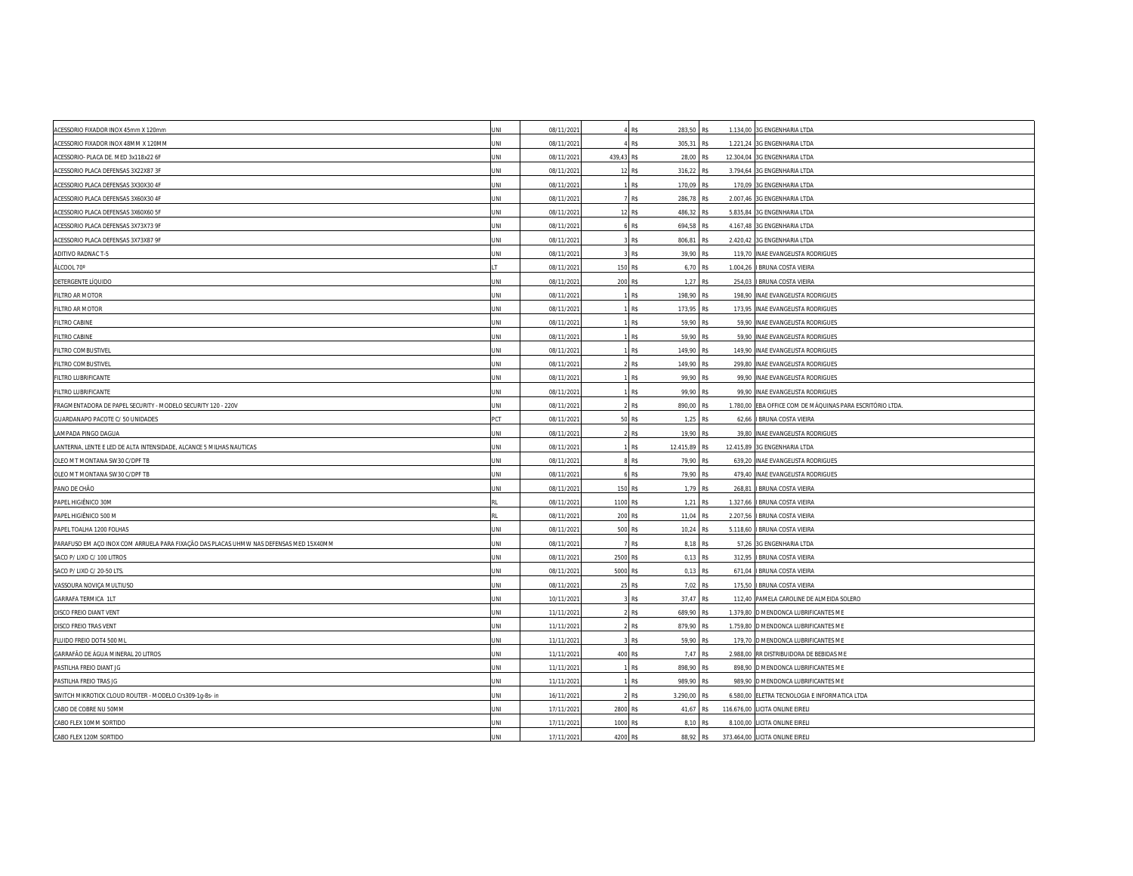| ACESSORIO FIXADOR INOX 45mm X 120mm                                                    | UNI        | 08/11/202  |            | R\$        | 283,50 R\$    |     |          | 1.134,00 3G ENGENHARIA LTDA                               |
|----------------------------------------------------------------------------------------|------------|------------|------------|------------|---------------|-----|----------|-----------------------------------------------------------|
| ACESSORIO FIXADOR INOX 48MM X 120MM                                                    | JNI        | 08/11/202  |            | R\$        | 305,31 R\$    |     |          | 1.221,24 3G ENGENHARIA LTDA                               |
| ACESSORIO- PLACA DE. MED 3x118x22 6F                                                   | JNI        | 08/11/202  | 439,43 R\$ |            | 28,00 R\$     |     |          | 12.304,04 3G ENGENHARIA LTDA                              |
| ACESSORIO PLACA DEFENSAS 3X22X87 3F                                                    | JNI        | 08/11/202  | 12         | R\$        | 316,22 R\$    |     |          | 3.794,64 3G ENGENHARIA LTDA                               |
| ACESSORIO PLACA DEFENSAS 3X30X30 4F                                                    | JNI        | 08/11/2021 |            | R\$        | 170,09 R\$    |     |          | 170,09 3G ENGENHARIA LTDA                                 |
| ACESSORIO PLACA DEFENSAS 3X60X30 4F                                                    | JNI        | 08/11/202  |            | R\$        | 286,78        | R\$ |          | 2.007,46 3G ENGENHARIA LTDA                               |
| ACESSORIO PLACA DEFENSAS 3X60X60 5F                                                    | JNI        | 08/11/202  |            | 12 R\$     | 486,32 R\$    |     |          | 5.835,84 3G ENGENHARIA LTDA                               |
| ACESSORIO PLACA DEFENSAS 3X73X73 9F                                                    | INI        | 08/11/2021 |            | R\$        | 694,58        | R\$ |          | 4.167,48 3G ENGENHARIA LTDA                               |
| ACESSORIO PLACA DEFENSAS 3X73X87 9F                                                    | JNI        | 08/11/202  |            | R\$        | 806,81        | R\$ |          | 2.420,42 3G ENGENHARIA LTDA                               |
| ADITIVO RADNAC T-5                                                                     | INL        | 08/11/202  |            | R\$        | 39,90 R\$     |     |          | 119,70 INAE EVANGELISTA RODRIGUES                         |
| ÁLCOOL 70°                                                                             |            | 08/11/2021 | 150 R\$    |            | 6,70 R\$      |     | 1.004,26 | <b>BRUNA COSTA VIEIRA</b>                                 |
| DETERGENTE LÍQUIDO                                                                     | INI        | 08/11/202  | 200 R\$    |            | 1,27 R\$      |     | 254,03   | I BRUNA COSTA VIEIRA                                      |
| FILTRO AR MOTOR                                                                        | JNI        | 08/11/202  |            | <b>R\$</b> | 198.90 R\$    |     |          | 198,90 INAE EVANGELISTA RODRIGUES                         |
| FILTRO AR MOTOR                                                                        | JNI        | 08/11/202  |            | R\$        | 173,95 R\$    |     |          | 173,95 INAE EVANGELISTA RODRIGUES                         |
| <b>FILTRO CABINE</b>                                                                   | INI        | 08/11/202  |            | R\$        | 59,90 R\$     |     |          | 59,90 INAE EVANGELISTA RODRIGUES                          |
| <b>FILTRO CABINE</b>                                                                   | JNI        | 08/11/202  |            | R\$        | 59,90 R\$     |     |          | 59,90 INAE EVANGELISTA RODRIGUES                          |
| FILTRO COMBUSTIVEL                                                                     | JNI        | 08/11/202  |            | R\$        | 149,90 R\$    |     |          | 149,90 INAE EVANGELISTA RODRIGUES                         |
| FILTRO COMBUSTIVEL                                                                     | JNI        | 08/11/202  |            | R\$        | 149,90 R\$    |     |          | 299,80 INAE EVANGELISTA RODRIGUES                         |
| FILTRO LUBRIFICANTE                                                                    | INI        | 08/11/202  |            | R\$        | 99,90 R\$     |     |          | 99,90 INAE EVANGELISTA RODRIGUES                          |
| FILTRO LUBRIFICANTE                                                                    | <b>INL</b> | 08/11/202  |            | R\$        | 99,90 R\$     |     |          | 99,90 INAE EVANGELISTA RODRIGUES                          |
| FRAGMENTADORA DE PAPEL SECURITY - MODELO SECURITY 120 - 220V                           | JNI        | 08/11/2021 |            | R\$        | 890,00 R\$    |     |          | 1.780,00 EBA OFFICE COM DE MÁQUINAS PARA ESCRITÓRIO LTDA. |
| GUARDANAPO PACOTE C/ 50 UNIDADES                                                       | <b>CT</b>  | 08/11/202  |            | R\$        | 1.25 R\$      |     |          | 62,66   BRUNA COSTA VIEIRA                                |
| LAMPADA PINGO DAGUA                                                                    | INI        | 08/11/202  |            | R\$        | 19,90 R\$     |     |          | 39,80 INAE EVANGELISTA RODRIGUES                          |
| LANTERNA, LENTE E LED DE ALTA INTENSIDADE, ALCANCE 5 MILHAS NAUTICAS                   | JNI        | 08/11/202  |            | R\$        | 12.415,89 R\$ |     |          | 12.415,89 3G ENGENHARIA LTDA                              |
| OLEO MT MONTANA SW30 C/DPF TB                                                          | JNI        | 08/11/202  |            | R\$        | 79,90 R\$     |     |          | 639,20 INAE EVANGELISTA RODRIGUES                         |
| OLEO MT MONTANA SW30 C/DPF TB                                                          | INI        | 08/11/202  |            | RS         | 79.90 R\$     |     |          | 479,40 INAE EVANGELISTA RODRIGUES                         |
| PANO DE CHÃO                                                                           | JNI        | 08/11/202  | 150 R\$    |            | 1,79 R\$      |     |          | 268,81   BRUNA COSTA VIEIRA                               |
| PAPEL HIGIÊNICO 30M                                                                    |            | 08/11/2021 | 1100 R\$   |            | 1,21 R\$      |     |          | 1.327,66 I BRUNA COSTA VIEIRA                             |
| PAPEL HIGIÊNICO 500 M                                                                  |            | 08/11/202  | 200 R\$    |            | 11,04 R\$     |     | 2.207.56 | I BRUNA COSTA VIEIRA                                      |
| PAPEL TOALHA 1200 FOLHAS                                                               | JNI        | 08/11/202  | 500        | R\$        | 10,24 R\$     |     |          | 5.118,60   BRUNA COSTA VIEIRA                             |
| PARAFUSO EM AÇO INOX COM ARRUELA PARA FIXAÇÃO DAS PLACAS UHMW NAS DEFENSAS MED 15X40MM | INI        | 08/11/2021 |            | R\$        | 8,18 R\$      |     |          | 57,26 3G ENGENHARIA LTDA                                  |
| SACO P/ LIXO C/ 100 LITROS                                                             | JNI        | 08/11/202  | 2500 R\$   |            | $0,13$ R\$    |     |          | 312,95   BRUNA COSTA VIEIRA                               |
| SACO P/ LIXO C/ 20-50 LTS.                                                             | JNI        | 08/11/202  | 5000 R\$   |            | 0,13 R\$      |     |          | 671,04   BRUNA COSTA VIEIRA                               |
| VASSOURA NOVIÇA MULTIUSO                                                               | JNI        | 08/11/2021 | 25         | <b>R\$</b> | 7,02 R\$      |     |          | 175,50   BRUNA COSTA VIEIRA                               |
| GARRAFA TERMICA 1LT                                                                    | JNI        | 10/11/202  |            | R\$        | 37,47 R\$     |     |          | 112,40 PAMELA CAROLINE DE ALMEIDA SOLERO                  |
| DISCO FREIO DIANT VENT                                                                 | JNI        | 11/11/202  |            | R\$        | 689,90 R\$    |     |          | 1.379,80 D MENDONCA LUBRIFICANTES ME                      |
| DISCO FREIO TRAS VENT                                                                  | ΙNΙ        | 11/11/2021 |            | R\$        | 879,90 R\$    |     |          | 1.759,80 D MENDONCA LUBRIFICANTES ME                      |
| FLUIDO FREIO DOT4 500 ML                                                               | INI        | 11/11/202  |            | R\$        | 59,90 R\$     |     |          | 179,70 D MENDONCA LUBRIFICANTES ME                        |
| GARRAFÃO DE ÁGUA MINERAL 20 LITROS                                                     | JNI        | 11/11/202  | 400 R\$    |            | 7,47 R\$      |     |          | 2.988,00 RR DISTRIBUIDORA DE BEBIDAS ME                   |
| PASTILHA FREIO DIANT JG                                                                | JNI        | 11/11/202  |            | R\$        | 898,90 R\$    |     |          | 898,90 D MENDONCA LUBRIFICANTES ME                        |
| PASTILHA FREIO TRAS JG                                                                 | JNI        | 11/11/202  |            | R\$        | 989,90 R\$    |     |          | 989,90 D MENDONCA LUBRIFICANTES ME                        |
| SWITCH MIKROTICK CLOUD ROUTER - MODELO Crs309-1g-8s- in                                | INL        | 16/11/202  |            | R\$        | 3.290,00 R\$  |     |          | 6.580,00 ELETRA TECNOLOGIA E INFORMATICA LTDA             |
| CABO DE COBRE NU 50MM                                                                  | INI        | 17/11/202  | 2800 R\$   |            | 41,67 R\$     |     |          | 116.676,00 LICITA ONLINE EIRELI                           |
| CABO FLEX 10MM SORTIDO                                                                 | JNI        | 17/11/202  | 1000 R\$   |            | 8.10          | R₹  |          | 8.100,00 LICITA ONLINE EIRELI                             |
| CABO FLEX 120M SORTIDO                                                                 | JNI        | 17/11/2021 | 4200 R\$   |            | 88,92 R\$     |     |          | 373.464,00 LICITA ONLINE EIRELI                           |
|                                                                                        |            |            |            |            |               |     |          |                                                           |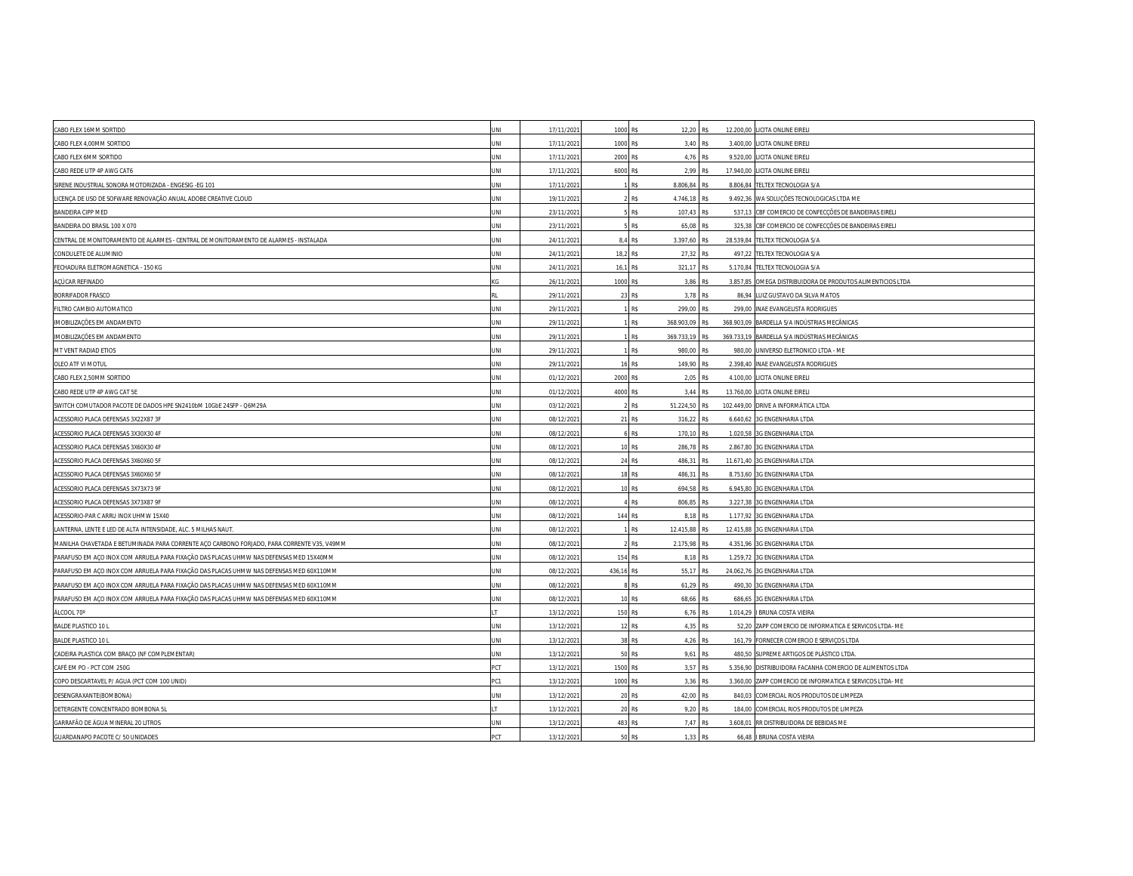| CABO FLEX 16MM SORTIDO                                                                     | JNI        | 17/11/202  | 1000 R\$   | 12,20 R\$                |                 | 12.200,00 LICITA ONLINE EIRELI                            |
|--------------------------------------------------------------------------------------------|------------|------------|------------|--------------------------|-----------------|-----------------------------------------------------------|
| CABO FLEX 4,00MM SORTIDO                                                                   | INI        | 17/11/202  | 1000       | R\$<br>3,40 R\$          | 3.400,00        | LICITA ONLINE EIRELI                                      |
| CABO FLEX 6MM SORTIDO                                                                      | INI        | 17/11/202  | 2000       | 4,76 R\$<br>R\$          |                 | 9.520,00 LICITA ONLINE EIRELI                             |
| CABO REDE UTP 4P AWG CAT6                                                                  | INI        | 17/11/202  | 6000 R\$   | 2.99 R\$                 | 17,940.00       | LICITA ONLINE EIRELI                                      |
| SIRENE INDUSTRIAL SONORA MOTORIZADA - ENGESIG -EG 101                                      | JΝI        | 17/11/202  |            | R\$<br>8.806,84 R\$      | 8.806,84        | TELTEX TECNOLOGIA S/A                                     |
| LICENÇA DE USO DE SOFWARE RENOVAÇÃO ANUAL ADOBE CREATIVE CLOUD                             | JNI        | 19/11/202  |            | R\$<br>4.746,18 R\$      | 9.492,36        | WA SOLUÇÕES TECNOLOGICAS LTDA ME                          |
| <b>BANDEIRA CIPP MED</b>                                                                   | <b>INL</b> | 23/11/202  |            | R\$<br>107,43 R\$        | 537.13          | CBF COMERCIO DE CONFECÇÕES DE BANDEIRAS EIRELI            |
| BANDEIRA DO BRASIL 100 X 070                                                               | INI        | 23/11/202  |            | R\$<br>65,08 R\$         |                 | 325,38 CBF COMERCIO DE CONFECÇÕES DE BANDEIRAS EIRELI     |
| CENTRAL DE MONITORAMENTO DE ALARMES - CENTRAL DE MONITORAMENTO DE ALARMES - INSTALADA      | INI        | 24/11/202  | 8.4        | R\$<br>3.397,60 R\$      | 28.539,84       | TELTEX TECNOLOGIA S/A                                     |
| CONDULETE DE ALUMINIO                                                                      | INI        | 24/11/202  | 18.2       | R\$<br>27,32 R\$         | 497,22          | TELTEX TECNOLOGIA S/A                                     |
| FECHADURA ELETROMAGNETICA - 150 KG                                                         | INI        | 24/11/202  | 16,1       | R\$<br>321,17 R\$        | 5.170,84        | TELTEX TECNOLOGIA S/A                                     |
| ACÚCAR REFINADO                                                                            |            | 26/11/202  | 1000       | R\$<br>3,86 R\$          | 3.857.85        | OMEGA DISTRIBUIDORA DE PRODUTOS ALIMENTICIOS LTDA         |
| <b>BORRIFADOR FRASCO</b>                                                                   |            | 29/11/202  | 23         | R\$<br>3.78 R\$          |                 | 86,94 LUIZ GUSTAVO DA SILVA MATOS                         |
| FILTRO CAMBIO AUTOMATICO                                                                   | INI        | 29/11/202  |            | R\$<br>299,00 R\$        |                 | 299,00 INAE EVANGELISTA RODRIGUES                         |
| IMOBILIZAÇÕES EM ANDAMENTO                                                                 | INI        | 29/11/202  |            | R\$<br>368.903,09        |                 | 368.903,09 BARDELLA S/A INDÚSTRIAS MECÂNICAS              |
| IMOBILIZAÇÕES EM ANDAMENTO                                                                 | INI        | 29/11/2021 |            | R\$<br>369.733,19 R\$    |                 | 369.733,19 BARDELLA S/A INDÚSTRIAS MECÂNICAS              |
| MT VENT RADIAD ETIOS                                                                       | INI        | 29/11/202  |            | <b>R\$</b><br>980,00 R\$ |                 | 980,00 UNIVERSO ELETRONICO LTDA - ME                      |
| OLEO ATF VI MOTUL                                                                          | INI        | 29/11/202  |            | R\$<br>149,90 R\$        |                 | 2.398,40 INAE EVANGELISTA RODRIGUES                       |
| CABO FLEX 2,50MM SORTIDO                                                                   | INI        | 01/12/202  | 2000       | 2,05 R\$<br>R\$          |                 | 4.100,00 LICITA ONLINE EIRELI                             |
| CABO REDE UTP 4P AWG CAT 5E                                                                | JNI        | 01/12/202  | 4000 R\$   | 3.44 R\$                 |                 | 13.760,00 LICITA ONLINE EIRELI                            |
| SWITCH COMUTADOR PACOTE DE DADOS HPE SN2410bM 10GbE 24SFP - Q6M29A                         | INI        | 03/12/202  |            | R\$<br>51.224,50         | R <sup>\$</sup> | 102.449,00 DRIVE A INFORMÁTICA LTDA                       |
| ACESSORIO PLACA DEFENSAS 3X22X87 3F                                                        | INI        | 08/12/2021 |            | 21 R\$<br>316,22 R\$     |                 | 6.640,62 3G ENGENHARIA LTDA                               |
| ACESSORIO PLACA DEFENSAS 3X30X30 4F                                                        | INI        | 08/12/202  |            | R\$<br>170,10 R\$        | 1.020,58        | 3G ENGENHARIA LTDA                                        |
| ACESSORIO PLACA DEFENSAS 3X60X30 4F                                                        | INI        | 08/12/202  |            | R\$<br>286,78 R\$        | 2.867,80        | 3G ENGENHARIA LTDA                                        |
| ACESSORIO PLACA DEFENSAS 3X60X60 5F                                                        | INI        | 08/12/202  |            | 24 R\$<br>486,31 R\$     |                 | 11.671,40 3G ENGENHARIA LTDA                              |
| ACESSORIO PLACA DEFENSAS 3X60X60 5F                                                        | INI        | 08/12/202  | 18         | <b>R\$</b><br>486.31 R\$ |                 | 8.753.60 3G ENGENHARIA LTDA                               |
| ACESSORIO PLACA DEFENSAS 3X73X73 9F                                                        | INI        | 08/12/202  |            | R\$<br>694,58 R\$        | 6.945,80        | 3G ENGENHARIA LTDA                                        |
| ACESSORIO PLACA DEFENSAS 3X73X87 9F                                                        | INI        | 08/12/202  |            | R\$<br>806,85 R\$        | 3.227,38        | 3G ENGENHARIA LTDA                                        |
| ACESSORIO-PAR C ARRU INOX UHMW 15X40                                                       | INI        | 08/12/202  | 144 R\$    | 8.18 R\$                 | 1.177,92        | 3G ENGENHARIA LTDA                                        |
| LANTERNA, LENTE E LED DE ALTA INTENSIDADE, ALC. 5 MILHAS NAUT.                             | INI        | 08/12/202  |            | 12.415,88 R\$<br>R¢      | 12.415,88       | 3G ENGENHARIA LTDA                                        |
| MANILHA CHAVETADA E BETUMINADA PARA CORRENTE AÇO CARBONO FORJADO, PARA CORRENTE V35, V49MM | INI        | 08/12/202  |            | R\$<br>2.175,98          | 4.351,96        | 3G ENGENHARIA LTDA                                        |
| PARAFUSO EM AÇO INOX COM ARRUELA PARA FIXAÇÃO DAS PLACAS UHMW NAS DEFENSAS MED 15X40MM     | INI        | 08/12/202  | 154        | R\$<br>8,18 R\$          | 1.259,72        | 3G ENGENHARIA LTDA                                        |
| PARAFUSO EM AÇO INOX COM ARRUELA PARA FIXAÇÃO DAS PLACAS UHMW NAS DEFENSAS MED 60X110MM    | INI        | 08/12/202  | 436,16 R\$ | 55,17 R\$                | 24.062,76       | 3G ENGENHARIA LTDA                                        |
| PARAFUSO EM AÇO INOX COM ARRUELA PARA FIXAÇÃO DAS PLACAS UHMW NAS DEFENSAS MED 60X110MM    | INI        | 08/12/2021 |            | R\$<br>61,29 R\$         | 490,30          | 3G ENGENHARIA LTDA                                        |
| PARAFUSO EM AÇO INOX COM ARRUELA PARA FIXAÇÃO DAS PLACAS UHMW NAS DEFENSAS MED 60X110MM    | INI        | 08/12/202  | 10         | R\$<br>68,66 R\$         |                 | 686,65 3G ENGENHARIA LTDA                                 |
| ÁLCOOL 70°                                                                                 |            | 13/12/202  | 150 R\$    | 6,76 R\$                 | 1.014,29        | I BRUNA COSTA VIEIRA                                      |
| <b>BALDE PLASTICO 10 L</b>                                                                 | INI        | 13/12/202  |            | R\$<br>4,35 R\$          | 52,20           | ZAPP COMERCIO DE INFORMATICA E SERVICOS LTDA- ME          |
| <b>BALDE PLASTICO 10 L</b>                                                                 | INI        | 13/12/202  | 38         | R\$<br>4,26 R\$          |                 | 161,79 FORNECER COMERCIO E SERVIÇOS LTDA                  |
| CADEIRA PLASTICA COM BRAÇO (NF COMPLEMENTAR)                                               | INI        | 13/12/202  | 50         | <b>R\$</b><br>9.61 R\$   |                 | 480,50 SUPREME ARTIGOS DE PLÁSTICO LTDA                   |
| CAFÉ EM PO - PCT COM 250G                                                                  | PСT        | 13/12/202  | 1500       | 3,57 R\$<br>R\$          |                 | 5.356,90 DISTRIBUIDORA FACANHA COMERCIO DE ALIMENTOS LTDA |
| COPO DESCARTAVEL P/ AGUA (PCT COM 100 UNID)                                                | C1         | 13/12/202  | 1000       | R\$<br>3,36 R\$          |                 | 3.360,00 ZAPP COMERCIO DE INFORMATICA E SERVICOS LTDA- ME |
| DESENGRAXANTE(BOMBONA)                                                                     | INI        | 13/12/202  | 20         | R\$<br>42,00 R\$         |                 | 840,03 COMERCIAL RIOS PRODUTOS DE LIMPEZA                 |
| DETERGENTE CONCENTRADO BOMBONA 5L                                                          |            | 13/12/202  | 20         | R\$<br>9,20 R\$          |                 | 184,00 COMERCIAL RIOS PRODUTOS DE LIMPEZA                 |
| GARRAFÃO DE ÁGUA MINERAL 20 LITROS                                                         | INI        | 13/12/202  | 483 R\$    | 7.47 R\$                 | 3.608.01        | RR DISTRIBUIDORA DE BEBIDAS ME                            |
| GUARDANAPO PACOTE C/ 50 UNIDADES                                                           | <b>CT</b>  | 13/12/2021 | 50         | R\$<br>1,33 R\$          |                 | 66,48   BRUNA COSTA VIEIRA                                |
|                                                                                            |            |            |            |                          |                 |                                                           |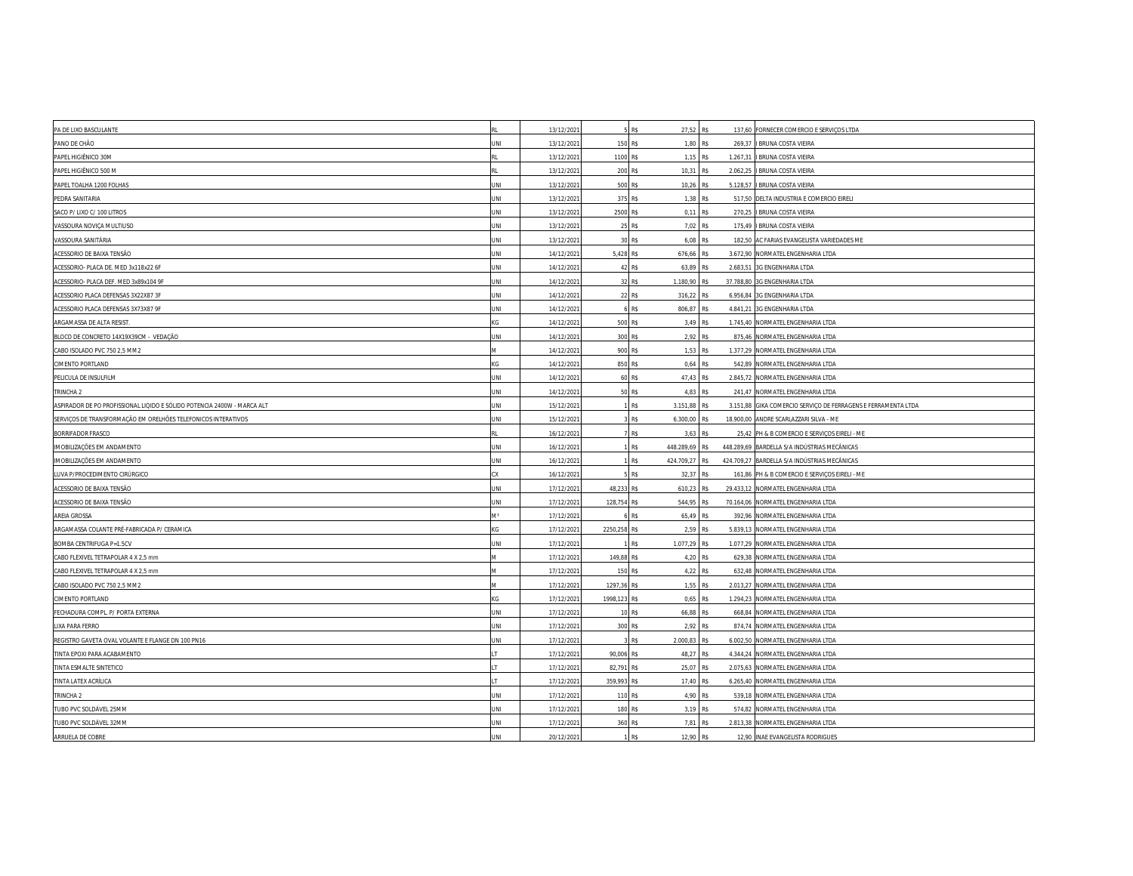| PA DE LIXO BASCULANTE                                                   |            | 13/12/202  |            | R\$<br>27,52 R\$        |                      | 137,60 FORNECER COMERCIO E SERVIÇOS LTDA             |
|-------------------------------------------------------------------------|------------|------------|------------|-------------------------|----------------------|------------------------------------------------------|
| PANO DE CHÃO                                                            | INI        | 13/12/202  | 150        | R\$                     | 1,80 R\$<br>269,37   | I BRUNA COSTA VIEIRA                                 |
| PAPEL HIGIÊNICO 30M                                                     |            | 13/12/202  | 1100 R\$   |                         | 1,15 R\$<br>1.267,31 | I BRUNA COSTA VIEIRA                                 |
| PAPEL HIGIÊNICO 500 M                                                   |            | 13/12/202  | 200        | R\$<br>10.31 R\$        | 2.062.25             | I BRUNA COSTA VIEIRA                                 |
| PAPEL TOALHA 1200 FOLHAS                                                | JΝI        | 13/12/202  | 500        | R\$<br>10,26 R\$        | 5.128,57             | I BRUNA COSTA VIEIRA                                 |
| PEDRA SANITARIA                                                         | JNI        | 13/12/202  | 375        | R\$                     | 1,38 R\$             | 517,50 DELTA INDUSTRIA E COMERCIO EIRELI             |
| SACO P/ LIXO C/ 100 LITROS                                              | JNI        | 13/12/202  | 2500       | R\$                     | 0.11 R\$<br>270.25   | I BRUNA COSTA VIEIRA                                 |
| VASSOURA NOVIÇA MULTIUSO                                                | INI        | 13/12/202  | 25         | R\$                     | 7,02 R\$             | 175,49   BRUNA COSTA VIEIRA                          |
| VASSOURA SANITÁRIA                                                      | <b>INL</b> | 13/12/202  | 30         | R\$                     | 6,08 R\$<br>182,50   | AC FARIAS EVANGELISTA VARIEDADES ME                  |
| ACESSORIO DE BAIXA TENSÃO                                               | <b>INL</b> | 14/12/202  | 5,428      | R\$<br>676,66 R\$       |                      | 3.672,90 NORMATEL ENGENHARIA LTDA                    |
| ACESSORIO- PLACA DE. MED 3x118x22 6F                                    | JNI        | 14/12/202  | 42         | R\$<br>63,89 R\$        | 2.683,51             | 3G ENGENHARIA LTDA                                   |
| ACESSORIO- PLACA DEF. MED 3x89x104 9F                                   | INI        | 14/12/202  | 32         | R\$<br>1.180,90         | 37,788.80            | 3G ENGENHARIA LTDA                                   |
| ACESSORIO PLACA DEFENSAS 3X22X87 3F                                     | JΝI        | 14/12/202  |            | R\$<br>316,22 R\$       | 6.956,84             | 3G ENGENHARIA LTDA                                   |
| ACESSORIO PLACA DEFENSAS 3X73X87 9F                                     | INI        | 14/12/202  |            | R\$<br>806,87 R\$       | 4.841,21             | 3G ENGENHARIA LTDA                                   |
| ARGAMASSA DE ALTA RESIST.                                               |            | 14/12/202  | 500        | R\$                     | 3.49 R\$<br>1.745.40 | NORMATEL ENGENHARIA LTDA                             |
| BLOCO DE CONCRETO 14X19X39CM - VEDAÇÃO                                  | JNI        | 14/12/2021 | 300 R\$    |                         | 2,92 R\$             | 875,46 NORMATEL ENGENHARIA LTDA                      |
| CABO ISOLADO PVC 750 2,5 MM2                                            |            | 14/12/202  | 900 R\$    |                         | 1,53 R\$             | 1.377,29 NORMATEL ENGENHARIA LTDA                    |
| <b>CIMENTO PORTLAND</b>                                                 |            | 14/12/202  | 850        | R\$                     | 0,64 R\$<br>542,89   | NORMATEL ENGENHARIA LTDA                             |
| PELICULA DE INSULFILM                                                   | INI        | 14/12/2021 | 60         | R\$<br>47,43 R\$        | 2.845,72             | NORMATEL ENGENHARIA LTDA                             |
| TRINCHA <sub>2</sub>                                                    | JNI        | 14/12/202  |            | <b>R\$</b>              | 4.83 R\$             | 241,47 NORMATEL ENGENHARIA LTDA                      |
| ASPIRADOR DE PO PROFISSIONAL LIQIDO E SÓLIDO POTENCIA 2400W - MARCA ALT | INI        | 15/12/202  |            | R\$<br>3.151,88 R\$     | 3.151,88             | GIKA COMERCIO SERVIÇO DE FERRAGENS E FERRAMENTA LTDA |
| SERVIÇOS DE TRANSFORMAÇÃO EM ORELHÕES TELEFONICOS INTERATIVOS           | JΝΙ        | 15/12/2021 |            | R\$<br>6.300,00 R\$     |                      | 18.900,00 ANDRE SCARLAZZARI SILVA - ME               |
| BORRIFADOR FRASCO                                                       |            | 16/12/202  |            | R\$                     | 3,63 R\$             | 25,42 PH & B COMERCIO E SERVIÇOS EIRELI - ME         |
| IMOBILIZAÇÕES EM ANDAMENTO                                              | INI        | 16/12/202  |            | R\$<br>448.289,69 R\$   |                      | 448.289,69 BARDELLA S/A INDÚSTRIAS MECÂNICAS         |
| IMOBILIZAÇÕES EM ANDAMENTO                                              | INI        | 16/12/202  |            | 424.709,27 R\$<br>R\$   |                      | 424.709,27 BARDELLA S/A INDÚSTRIAS MECÂNICAS         |
| LUVA P/PROCEDIMENTO CIRÚRGICO                                           |            | 16/12/202  |            | R\$<br>32,37 R\$        | 161.86               | PH & B COMERCIO E SERVIÇOS EIRELI - ME               |
| ACESSORIO DE BAIXA TENSÃO                                               | INI        | 17/12/202  | 48,233     | R\$<br>610,23 R\$       |                      | 29.433,12 NORMATEL ENGENHARIA LTDA                   |
| ACESSORIO DE BAIXA TENSÃO                                               | INI        | 17/12/2021 | 128,754    | R\$<br>544,95 R\$       | 70.164.06            | NORMATEL ENGENHARIA LTDA                             |
| AREIA GROSSA                                                            |            | 17/12/202  |            | R\$<br>65,49 R\$        |                      | 392,96 NORMATEL ENGENHARIA LTDA                      |
| ARGAMASSA COLANTE PRÉ-FABRICADA P/ CERAMICA                             |            | 17/12/202  | 2250,258   | R\$                     | 2,59 R\$<br>5.839,13 | NORMATEL ENGENHARIA LTDA                             |
| BOMBA CENTRIFUGA P=1.5CV                                                | INI        | 17/12/2021 |            | R\$<br>1.077,29 R\$     | 1.077,29             | NORMATEL ENGENHARIA LTDA                             |
| CABO FLEXIVEL TETRAPOLAR 4 X 2,5 mm                                     |            | 17/12/2021 | 149,88     | R\$                     | 4,20 R\$<br>629,38   | NORMATEL ENGENHARIA LTDA                             |
| CABO FLEXIVEL TETRAPOLAR 4 X 2,5 mm                                     |            | 17/12/202  | 150 R\$    |                         | 4,22 R\$             | 632,48 NORMATEL ENGENHARIA LTDA                      |
| CABO ISOLADO PVC 750 2,5 MM2                                            |            | 17/12/2021 | 1297,36    | R\$                     | 1,55 R\$<br>2.013,27 | NORMATEL ENGENHARIA LTDA                             |
| CIMENTO PORTLAND                                                        |            | 17/12/2021 | 1998,123   | RŚ                      | 0,65 R\$             | 1.294,23 NORMATEL ENGENHARIA LTDA                    |
| FECHADURA COMPL. P/ PORTA EXTERNA                                       | <b>INL</b> | 17/12/202  | 10         | <b>R\$</b><br>66.88 R\$ |                      | 668,84 NORMATEL ENGENHARIA LTDA                      |
| LIXA PARA FERRO                                                         | INI        | 17/12/202  | 300        | R\$                     | 2,92 R\$             | 874,74 NORMATEL ENGENHARIA LTDA                      |
| REGISTRO GAVETA OVAL VOLANTE E FLANGE DN 100 PN16                       | <b>INL</b> | 17/12/202  |            | 2.000,83 R\$<br>R\$     |                      | 6.002,50 NORMATEL ENGENHARIA LTDA                    |
| TINTA EPOXI PARA ACABAMENTO                                             |            | 17/12/202  | 90,006     | R\$<br>48,27 R\$        |                      | 4.344,24 NORMATEL ENGENHARIA LTDA                    |
| TINTA ESMALTE SINTETICO                                                 |            | 17/12/202  | 82,791 R\$ | 25,07 R\$               | 2.075,63             | NORMATEL ENGENHARIA LTDA                             |
| TINTA LATEX ACRÍLICA                                                    |            | 17/12/2021 | 359,993    | 17,40 R\$<br>ŞŚ         |                      | 6.265,40 NORMATEL ENGENHARIA LTDA                    |
| TRINCHA 2                                                               | INI        | 17/12/202  | 110        | R\$                     | 4,90 R\$             | 539,18 NORMATEL ENGENHARIA LTDA                      |
| TUBO PVC SOLDÁVEL 25MM                                                  | INI        | 17/12/202  | 180        | R\$                     | 3,19 R\$<br>574,82   | NORMATEL ENGENHARIA LTDA                             |
| TUBO PVC SOLDÁVEL 32MM                                                  | INI        | 17/12/202  | 360        | R\$                     | 7.81 R\$<br>2.813.38 | NORMATEL ENGENHARIA LTDA                             |
| ARRUELA DE COBRE                                                        | JΝΙ        | 20/12/2021 |            | R\$<br>12,90 R\$        |                      | 12,90 INAE EVANGELISTA RODRIGUES                     |
|                                                                         |            |            |            |                         |                      |                                                      |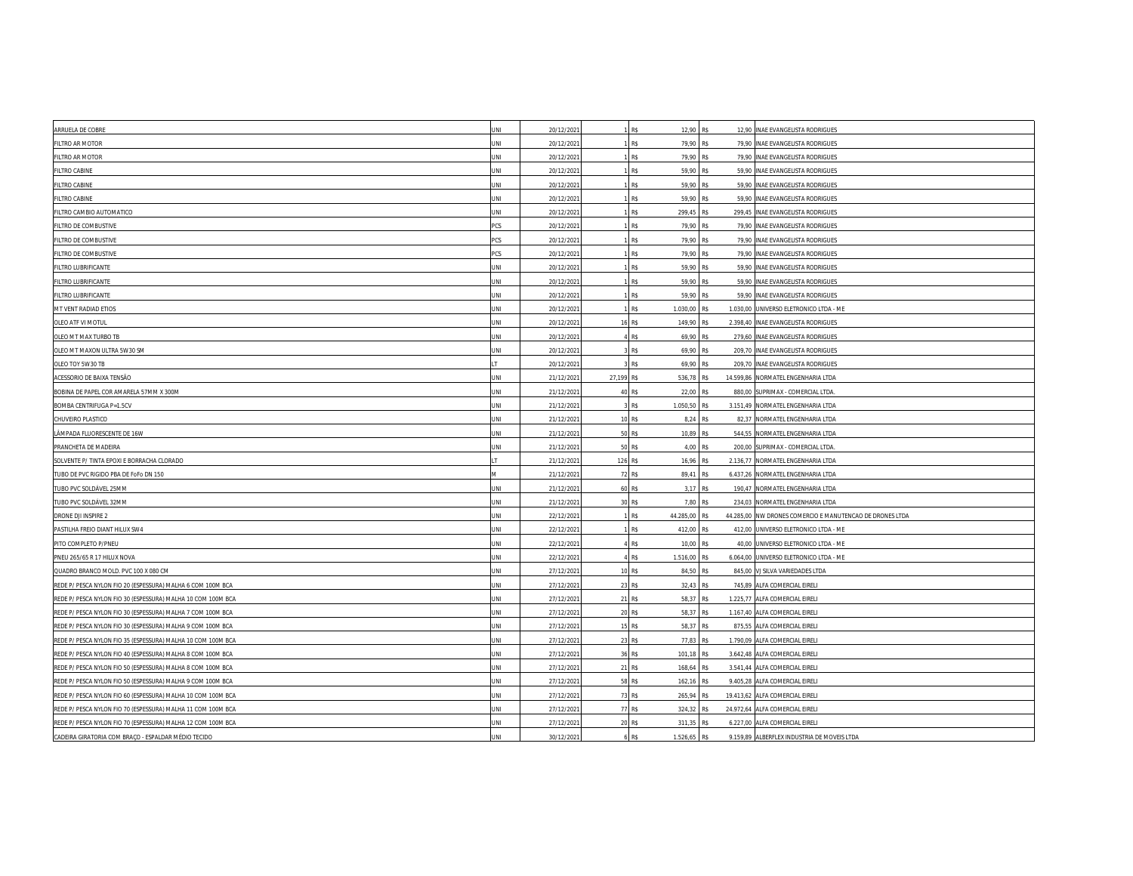| R\$<br>12,90 R\$<br>ARRUELA DE COBRE<br>JNI<br>20/12/2021<br>12,90 INAE EVANGELISTA RODRIGUES<br>20/12/202<br>79,90 R\$<br>FILTRO AR MOTOR<br>INI<br><b>R\$</b><br>79.90<br><b>INAE EVANGELISTA RODRIGUES</b><br>R\$<br>FILTRO AR MOTOR<br>JNI<br>20/12/202<br>79,90 R\$<br>79,90 INAE EVANGELISTA RODRIGUES<br><b>FILTRO CABINE</b><br>20/12/202<br>R\$<br>59,90 R\$<br>59,90 INAE EVANGELISTA RODRIGUES<br>INI<br><b>FILTRO CABINE</b><br>20/12/2021<br>R\$<br>59,90 R\$<br>59,90<br>INAE EVANGELISTA RODRIGUES<br>INI<br>R\$<br><b>FILTRO CABINE</b><br>JNI<br>20/12/202<br>59,90 R\$<br>59,90 INAE EVANGELISTA RODRIGUES<br>20/12/202<br>R\$<br>299,45 R\$<br>FILTRO CAMBIO AUTOMATICO<br>INI<br>299,45 INAE EVANGELISTA RODRIGUES<br>R\$<br>20/12/2021<br>79,90 R\$<br>FILTRO DE COMBUSTIVE<br>CS.<br>79,90 INAE EVANGELISTA RODRIGUES<br>FILTRO DE COMBUSTIVE<br>CS.<br>20/12/2021<br>R\$<br>79,90 R\$<br>79,90 INAE EVANGELISTA RODRIGUES<br>FILTRO DE COMBUSTIVE<br>20/12/202<br>R\$<br>79.90 R\$<br>PCS<br>79,90 INAE EVANGELISTA RODRIGUES<br>20/12/202<br><b>R\$</b><br>59,90 R\$<br>FILTRO LUBRIFICANTE<br>INI<br>59,90<br><b>INAE EVANGELISTA RODRIGUES</b><br>FILTRO LUBRIFICANTE<br><b>INL</b><br>20/12/2021<br>R\$<br>59,90 R\$<br>59.90<br><b>INAE EVANGELISTA RODRIGUES</b><br>FILTRO LUBRIFICANTE<br><b>INL</b><br>20/12/202<br>R\$<br>59,90 R\$<br>59,90 INAE EVANGELISTA RODRIGUES<br>20/12/202<br>R\$<br>1.030,00 R\$<br>1.030,00 UNIVERSO ELETRONICO LTDA - ME<br>MT VENT RADIAD ETIOS<br>JNI<br>OLEO ATF VI MOTUL<br>INI<br>20/12/202<br>R\$<br>149,90 R\$<br>2.398,40<br><b>INAE EVANGELISTA RODRIGUES</b><br>R\$<br>69,90 R\$<br>OLEO MT MAX TURBO TB<br>JΝI<br>20/12/202<br>279,60 INAE EVANGELISTA RODRIGUES<br>OLEO MT MAXON ULTRA 5W30 SM<br>20/12/202<br>R\$<br>69,90 R\$<br><b>INAE EVANGELISTA RODRIGUES</b><br>209,70<br>INI<br>OLEO TOY 5W30 TB<br>20/12/202<br>R\$<br><b>INAE EVANGELISTA RODRIGUES</b><br>69.90 R\$<br>209.70<br>21/12/2021<br>27,199 R\$<br>536,78 R\$<br>14.599,86 NORMATEL ENGENHARIA LTDA<br>ACESSORIO DE BAIXA TENSÃO<br>INI<br>R\$<br>BOBINA DE PAPEL COR AMARELA 57MM X 300M<br>JNI<br>21/12/202<br>22,00 R\$<br>880,00 SUPRIMAX - COMERCIAL LTDA<br>BOMBA CENTRIFUGA P=1.5CV<br>INI<br>21/12/2021<br>R\$<br>1.050,50 R\$<br>3.151,49 NORMATEL ENGENHARIA LTDA<br>21/12/2021<br>R\$<br>CHUVEIRO PLASTICO<br>INI<br>8,24 R\$<br>82,37<br>NORMATEL ENGENHARIA LTDA<br>10<br>LÂMPADA FLUORESCENTE DE 16W<br>21/12/202<br>R\$<br>10,89 R\$<br>544,55<br>NORMATEL ENGENHARIA LTDA<br>JNI<br>R\$<br>INI<br>21/12/202<br>4,00 R\$<br>200,00 SUPRIMAX - COMERCIAL LTDA<br>PRANCHETA DE MADEIRA<br>50<br>SOLVENTE P/ TINTA EPOXI E BORRACHA CLORADO<br>21/12/2021<br>126 R\$<br>16,96 R\$<br>2.136,77<br>NORMATEL ENGENHARIA LTDA<br>TUBO DE PVC RIGIDO PBA DE FoFo DN 150<br>21/12/202<br>72 R\$<br>89,41 R\$<br>6.437,26 NORMATEL ENGENHARIA LTDA<br>21/12/202<br>$\mathsf{RS}$<br>3,17 R\$<br>TUBO PVC SOLDÁVEL 25MM<br>INI<br>190,47 NORMATEL ENGENHARIA LTDA<br>60<br>TUBO PVC SOLDÁVEL 32MM<br>21/12/2021<br>R\$<br>7,80 R\$<br>INI<br>234,03 NORMATEL ENGENHARIA LTDA<br>30<br>R\$<br>DRONE DJI INSPIRE 2<br>JNI<br>22/12/202<br>44.285,00 R\$<br>44.285,00 NW DRONES COMERCIO E MANUTENCAO DE DRONES LTDA<br>PASTILHA FREIO DIANT HILUX SW4<br>22/12/202<br>R\$<br>412,00 R\$<br>UNIVERSO ELETRONICO LTDA - ME<br>INI<br>412,00<br>PITO COMPLETO P/PNEU<br>22/12/2021<br>R\$<br>10,00 R\$<br>40,00 UNIVERSO ELETRONICO LTDA - ME<br>INI<br>R\$<br>6.064,00 UNIVERSO ELETRONICO LTDA - ME<br>PNEU 265/65 R 17 HILUX NOVA<br>INI<br>22/12/202<br>1.516,00 R\$<br>27/12/202<br>RS<br>84,50 R\$<br>VJ SILVA VARIEDADES LTDA<br>QUADRO BRANCO MOLD. PVC 100 X 080 CM<br>INI<br>845.00<br>27/12/202<br>R\$<br>32,43 R\$<br>745,89<br>ALFA COMERCIAL EIRELI<br>REDE P/ PESCA NYLON FIO 20 (ESPESSURA) MALHA 6 COM 100M BCA<br>JΝI<br>23<br>ALFA COMERCIAL EIRELI<br>REDE P/ PESCA NYLON FIO 30 (ESPESSURA) MALHA 10 COM 100M BCA<br>JNI<br>27/12/2021<br>21 R\$<br>58,37 R\$<br>1.225,77<br>27/12/202<br>R\$<br>58.37 R\$<br>REDE P/ PESCA NYLON FIO 30 (ESPESSURA) MALHA 7 COM 100M BCA<br>JNI<br>20<br>1.167,40 ALFA COMERCIAL EIRELI<br>58,37 R\$<br>REDE P/ PESCA NYLON FIO 30 (ESPESSURA) MALHA 9 COM 100M BCA<br>27/12/202<br>R\$<br>875,55<br>ALFA COMERCIAL EIRELI<br>INI<br>15<br>REDE P/ PESCA NYLON FIO 35 (ESPESSURA) MALHA 10 COM 100M BCA<br><b>INL</b><br>27/12/2021<br><b>R\$</b><br>77,83 R\$<br>1.790,09<br>ALFA COMERCIAL EIRELI<br>23<br>REDE P/ PESCA NYLON FIO 40 (ESPESSURA) MALHA 8 COM 100M BCA<br><b>INL</b><br>27/12/202<br>R\$<br>101,18 R\$<br>3.642,48 ALFA COMERCIAL EIRELI<br>27/12/202<br>21 R\$<br>3.541,44<br>ALFA COMERCIAL EIRELI<br>REDE P/ PESCA NYLON FIO 50 (ESPESSURA) MALHA 8 COM 100M BCA<br>JNI<br>168,64 R\$<br>REDE P/ PESCA NYLON FIO 50 (ESPESSURA) MALHA 9 COM 100M BCA<br>INI<br>27/12/202<br>R\$<br>162,16 R\$<br>9.405,28<br>ALFA COMERCIAL EIRELI<br>58<br>73 R\$<br>265,94 R\$<br>19.413,62 ALFA COMERCIAL EIRELI<br>REDE P/ PESCA NYLON FIO 60 (ESPESSURA) MALHA 10 COM 100M BCA<br>JΝI<br>27/12/202<br>REDE P/ PESCA NYLON FIO 70 (ESPESSURA) MALHA 11 COM 100M BCA<br>27/12/202<br>77 R\$<br>324,32 R\$<br>24.972,64<br>ALFA COMERCIAL EIRELI<br>INI<br>REDE P/ PESCA NYLON FIO 70 (ESPESSURA) MALHA 12 COM 100M BCA<br>6.227.00 ALFA COMERCIAL EIRELI<br>INI<br>27/12/202<br>R\$<br>311.35 R\$<br>20<br>CADEIRA GIRATORIA COM BRAÇO - ESPALDAR MÉDIO TECIDO<br>R\$<br>1.526,65 R\$<br>9.159,89 ALBERFLEX INDUSTRIA DE MOVEIS LTDA<br>JΝΙ<br>30/12/2021 |  |  |  |  |
|-----------------------------------------------------------------------------------------------------------------------------------------------------------------------------------------------------------------------------------------------------------------------------------------------------------------------------------------------------------------------------------------------------------------------------------------------------------------------------------------------------------------------------------------------------------------------------------------------------------------------------------------------------------------------------------------------------------------------------------------------------------------------------------------------------------------------------------------------------------------------------------------------------------------------------------------------------------------------------------------------------------------------------------------------------------------------------------------------------------------------------------------------------------------------------------------------------------------------------------------------------------------------------------------------------------------------------------------------------------------------------------------------------------------------------------------------------------------------------------------------------------------------------------------------------------------------------------------------------------------------------------------------------------------------------------------------------------------------------------------------------------------------------------------------------------------------------------------------------------------------------------------------------------------------------------------------------------------------------------------------------------------------------------------------------------------------------------------------------------------------------------------------------------------------------------------------------------------------------------------------------------------------------------------------------------------------------------------------------------------------------------------------------------------------------------------------------------------------------------------------------------------------------------------------------------------------------------------------------------------------------------------------------------------------------------------------------------------------------------------------------------------------------------------------------------------------------------------------------------------------------------------------------------------------------------------------------------------------------------------------------------------------------------------------------------------------------------------------------------------------------------------------------------------------------------------------------------------------------------------------------------------------------------------------------------------------------------------------------------------------------------------------------------------------------------------------------------------------------------------------------------------------------------------------------------------------------------------------------------------------------------------------------------------------------------------------------------------------------------------------------------------------------------------------------------------------------------------------------------------------------------------------------------------------------------------------------------------------------------------------------------------------------------------------------------------------------------------------------------------------------------------------------------------------------------------------------------------------------------------------------------------------------------------------------------------------------------------------------------------------------------------------------------------------------------------------------------------------------------------------------------------------------------------------------------------------------------------------------------------------------------------------------------------------------------------------------------------------------------------------------------------------------------------------------------------------------------------------------------------------------------------------------------------------------------------------------------------------------------------------------------------------------------------------------------------------------------------------------------------------------------------------------------------------------------------------------------------------------------------------------------------------------------------------------------------------------------------------------------------------------------------------------------------------------------------------------------------------------------------------------------------------------------------------------------------------|--|--|--|--|
|                                                                                                                                                                                                                                                                                                                                                                                                                                                                                                                                                                                                                                                                                                                                                                                                                                                                                                                                                                                                                                                                                                                                                                                                                                                                                                                                                                                                                                                                                                                                                                                                                                                                                                                                                                                                                                                                                                                                                                                                                                                                                                                                                                                                                                                                                                                                                                                                                                                                                                                                                                                                                                                                                                                                                                                                                                                                                                                                                                                                                                                                                                                                                                                                                                                                                                                                                                                                                                                                                                                                                                                                                                                                                                                                                                                                                                                                                                                                                                                                                                                                                                                                                                                                                                                                                                                                                                                                                                                                                                                                                                                                                                                                                                                                                                                                                                                                                                                                                                                                                                                                                                                                                                                                                                                                                                                                                                                                                                                                                                                                                                       |  |  |  |  |
|                                                                                                                                                                                                                                                                                                                                                                                                                                                                                                                                                                                                                                                                                                                                                                                                                                                                                                                                                                                                                                                                                                                                                                                                                                                                                                                                                                                                                                                                                                                                                                                                                                                                                                                                                                                                                                                                                                                                                                                                                                                                                                                                                                                                                                                                                                                                                                                                                                                                                                                                                                                                                                                                                                                                                                                                                                                                                                                                                                                                                                                                                                                                                                                                                                                                                                                                                                                                                                                                                                                                                                                                                                                                                                                                                                                                                                                                                                                                                                                                                                                                                                                                                                                                                                                                                                                                                                                                                                                                                                                                                                                                                                                                                                                                                                                                                                                                                                                                                                                                                                                                                                                                                                                                                                                                                                                                                                                                                                                                                                                                                                       |  |  |  |  |
|                                                                                                                                                                                                                                                                                                                                                                                                                                                                                                                                                                                                                                                                                                                                                                                                                                                                                                                                                                                                                                                                                                                                                                                                                                                                                                                                                                                                                                                                                                                                                                                                                                                                                                                                                                                                                                                                                                                                                                                                                                                                                                                                                                                                                                                                                                                                                                                                                                                                                                                                                                                                                                                                                                                                                                                                                                                                                                                                                                                                                                                                                                                                                                                                                                                                                                                                                                                                                                                                                                                                                                                                                                                                                                                                                                                                                                                                                                                                                                                                                                                                                                                                                                                                                                                                                                                                                                                                                                                                                                                                                                                                                                                                                                                                                                                                                                                                                                                                                                                                                                                                                                                                                                                                                                                                                                                                                                                                                                                                                                                                                                       |  |  |  |  |
|                                                                                                                                                                                                                                                                                                                                                                                                                                                                                                                                                                                                                                                                                                                                                                                                                                                                                                                                                                                                                                                                                                                                                                                                                                                                                                                                                                                                                                                                                                                                                                                                                                                                                                                                                                                                                                                                                                                                                                                                                                                                                                                                                                                                                                                                                                                                                                                                                                                                                                                                                                                                                                                                                                                                                                                                                                                                                                                                                                                                                                                                                                                                                                                                                                                                                                                                                                                                                                                                                                                                                                                                                                                                                                                                                                                                                                                                                                                                                                                                                                                                                                                                                                                                                                                                                                                                                                                                                                                                                                                                                                                                                                                                                                                                                                                                                                                                                                                                                                                                                                                                                                                                                                                                                                                                                                                                                                                                                                                                                                                                                                       |  |  |  |  |
|                                                                                                                                                                                                                                                                                                                                                                                                                                                                                                                                                                                                                                                                                                                                                                                                                                                                                                                                                                                                                                                                                                                                                                                                                                                                                                                                                                                                                                                                                                                                                                                                                                                                                                                                                                                                                                                                                                                                                                                                                                                                                                                                                                                                                                                                                                                                                                                                                                                                                                                                                                                                                                                                                                                                                                                                                                                                                                                                                                                                                                                                                                                                                                                                                                                                                                                                                                                                                                                                                                                                                                                                                                                                                                                                                                                                                                                                                                                                                                                                                                                                                                                                                                                                                                                                                                                                                                                                                                                                                                                                                                                                                                                                                                                                                                                                                                                                                                                                                                                                                                                                                                                                                                                                                                                                                                                                                                                                                                                                                                                                                                       |  |  |  |  |
|                                                                                                                                                                                                                                                                                                                                                                                                                                                                                                                                                                                                                                                                                                                                                                                                                                                                                                                                                                                                                                                                                                                                                                                                                                                                                                                                                                                                                                                                                                                                                                                                                                                                                                                                                                                                                                                                                                                                                                                                                                                                                                                                                                                                                                                                                                                                                                                                                                                                                                                                                                                                                                                                                                                                                                                                                                                                                                                                                                                                                                                                                                                                                                                                                                                                                                                                                                                                                                                                                                                                                                                                                                                                                                                                                                                                                                                                                                                                                                                                                                                                                                                                                                                                                                                                                                                                                                                                                                                                                                                                                                                                                                                                                                                                                                                                                                                                                                                                                                                                                                                                                                                                                                                                                                                                                                                                                                                                                                                                                                                                                                       |  |  |  |  |
|                                                                                                                                                                                                                                                                                                                                                                                                                                                                                                                                                                                                                                                                                                                                                                                                                                                                                                                                                                                                                                                                                                                                                                                                                                                                                                                                                                                                                                                                                                                                                                                                                                                                                                                                                                                                                                                                                                                                                                                                                                                                                                                                                                                                                                                                                                                                                                                                                                                                                                                                                                                                                                                                                                                                                                                                                                                                                                                                                                                                                                                                                                                                                                                                                                                                                                                                                                                                                                                                                                                                                                                                                                                                                                                                                                                                                                                                                                                                                                                                                                                                                                                                                                                                                                                                                                                                                                                                                                                                                                                                                                                                                                                                                                                                                                                                                                                                                                                                                                                                                                                                                                                                                                                                                                                                                                                                                                                                                                                                                                                                                                       |  |  |  |  |
|                                                                                                                                                                                                                                                                                                                                                                                                                                                                                                                                                                                                                                                                                                                                                                                                                                                                                                                                                                                                                                                                                                                                                                                                                                                                                                                                                                                                                                                                                                                                                                                                                                                                                                                                                                                                                                                                                                                                                                                                                                                                                                                                                                                                                                                                                                                                                                                                                                                                                                                                                                                                                                                                                                                                                                                                                                                                                                                                                                                                                                                                                                                                                                                                                                                                                                                                                                                                                                                                                                                                                                                                                                                                                                                                                                                                                                                                                                                                                                                                                                                                                                                                                                                                                                                                                                                                                                                                                                                                                                                                                                                                                                                                                                                                                                                                                                                                                                                                                                                                                                                                                                                                                                                                                                                                                                                                                                                                                                                                                                                                                                       |  |  |  |  |
|                                                                                                                                                                                                                                                                                                                                                                                                                                                                                                                                                                                                                                                                                                                                                                                                                                                                                                                                                                                                                                                                                                                                                                                                                                                                                                                                                                                                                                                                                                                                                                                                                                                                                                                                                                                                                                                                                                                                                                                                                                                                                                                                                                                                                                                                                                                                                                                                                                                                                                                                                                                                                                                                                                                                                                                                                                                                                                                                                                                                                                                                                                                                                                                                                                                                                                                                                                                                                                                                                                                                                                                                                                                                                                                                                                                                                                                                                                                                                                                                                                                                                                                                                                                                                                                                                                                                                                                                                                                                                                                                                                                                                                                                                                                                                                                                                                                                                                                                                                                                                                                                                                                                                                                                                                                                                                                                                                                                                                                                                                                                                                       |  |  |  |  |
|                                                                                                                                                                                                                                                                                                                                                                                                                                                                                                                                                                                                                                                                                                                                                                                                                                                                                                                                                                                                                                                                                                                                                                                                                                                                                                                                                                                                                                                                                                                                                                                                                                                                                                                                                                                                                                                                                                                                                                                                                                                                                                                                                                                                                                                                                                                                                                                                                                                                                                                                                                                                                                                                                                                                                                                                                                                                                                                                                                                                                                                                                                                                                                                                                                                                                                                                                                                                                                                                                                                                                                                                                                                                                                                                                                                                                                                                                                                                                                                                                                                                                                                                                                                                                                                                                                                                                                                                                                                                                                                                                                                                                                                                                                                                                                                                                                                                                                                                                                                                                                                                                                                                                                                                                                                                                                                                                                                                                                                                                                                                                                       |  |  |  |  |
|                                                                                                                                                                                                                                                                                                                                                                                                                                                                                                                                                                                                                                                                                                                                                                                                                                                                                                                                                                                                                                                                                                                                                                                                                                                                                                                                                                                                                                                                                                                                                                                                                                                                                                                                                                                                                                                                                                                                                                                                                                                                                                                                                                                                                                                                                                                                                                                                                                                                                                                                                                                                                                                                                                                                                                                                                                                                                                                                                                                                                                                                                                                                                                                                                                                                                                                                                                                                                                                                                                                                                                                                                                                                                                                                                                                                                                                                                                                                                                                                                                                                                                                                                                                                                                                                                                                                                                                                                                                                                                                                                                                                                                                                                                                                                                                                                                                                                                                                                                                                                                                                                                                                                                                                                                                                                                                                                                                                                                                                                                                                                                       |  |  |  |  |
|                                                                                                                                                                                                                                                                                                                                                                                                                                                                                                                                                                                                                                                                                                                                                                                                                                                                                                                                                                                                                                                                                                                                                                                                                                                                                                                                                                                                                                                                                                                                                                                                                                                                                                                                                                                                                                                                                                                                                                                                                                                                                                                                                                                                                                                                                                                                                                                                                                                                                                                                                                                                                                                                                                                                                                                                                                                                                                                                                                                                                                                                                                                                                                                                                                                                                                                                                                                                                                                                                                                                                                                                                                                                                                                                                                                                                                                                                                                                                                                                                                                                                                                                                                                                                                                                                                                                                                                                                                                                                                                                                                                                                                                                                                                                                                                                                                                                                                                                                                                                                                                                                                                                                                                                                                                                                                                                                                                                                                                                                                                                                                       |  |  |  |  |
|                                                                                                                                                                                                                                                                                                                                                                                                                                                                                                                                                                                                                                                                                                                                                                                                                                                                                                                                                                                                                                                                                                                                                                                                                                                                                                                                                                                                                                                                                                                                                                                                                                                                                                                                                                                                                                                                                                                                                                                                                                                                                                                                                                                                                                                                                                                                                                                                                                                                                                                                                                                                                                                                                                                                                                                                                                                                                                                                                                                                                                                                                                                                                                                                                                                                                                                                                                                                                                                                                                                                                                                                                                                                                                                                                                                                                                                                                                                                                                                                                                                                                                                                                                                                                                                                                                                                                                                                                                                                                                                                                                                                                                                                                                                                                                                                                                                                                                                                                                                                                                                                                                                                                                                                                                                                                                                                                                                                                                                                                                                                                                       |  |  |  |  |
|                                                                                                                                                                                                                                                                                                                                                                                                                                                                                                                                                                                                                                                                                                                                                                                                                                                                                                                                                                                                                                                                                                                                                                                                                                                                                                                                                                                                                                                                                                                                                                                                                                                                                                                                                                                                                                                                                                                                                                                                                                                                                                                                                                                                                                                                                                                                                                                                                                                                                                                                                                                                                                                                                                                                                                                                                                                                                                                                                                                                                                                                                                                                                                                                                                                                                                                                                                                                                                                                                                                                                                                                                                                                                                                                                                                                                                                                                                                                                                                                                                                                                                                                                                                                                                                                                                                                                                                                                                                                                                                                                                                                                                                                                                                                                                                                                                                                                                                                                                                                                                                                                                                                                                                                                                                                                                                                                                                                                                                                                                                                                                       |  |  |  |  |
|                                                                                                                                                                                                                                                                                                                                                                                                                                                                                                                                                                                                                                                                                                                                                                                                                                                                                                                                                                                                                                                                                                                                                                                                                                                                                                                                                                                                                                                                                                                                                                                                                                                                                                                                                                                                                                                                                                                                                                                                                                                                                                                                                                                                                                                                                                                                                                                                                                                                                                                                                                                                                                                                                                                                                                                                                                                                                                                                                                                                                                                                                                                                                                                                                                                                                                                                                                                                                                                                                                                                                                                                                                                                                                                                                                                                                                                                                                                                                                                                                                                                                                                                                                                                                                                                                                                                                                                                                                                                                                                                                                                                                                                                                                                                                                                                                                                                                                                                                                                                                                                                                                                                                                                                                                                                                                                                                                                                                                                                                                                                                                       |  |  |  |  |
|                                                                                                                                                                                                                                                                                                                                                                                                                                                                                                                                                                                                                                                                                                                                                                                                                                                                                                                                                                                                                                                                                                                                                                                                                                                                                                                                                                                                                                                                                                                                                                                                                                                                                                                                                                                                                                                                                                                                                                                                                                                                                                                                                                                                                                                                                                                                                                                                                                                                                                                                                                                                                                                                                                                                                                                                                                                                                                                                                                                                                                                                                                                                                                                                                                                                                                                                                                                                                                                                                                                                                                                                                                                                                                                                                                                                                                                                                                                                                                                                                                                                                                                                                                                                                                                                                                                                                                                                                                                                                                                                                                                                                                                                                                                                                                                                                                                                                                                                                                                                                                                                                                                                                                                                                                                                                                                                                                                                                                                                                                                                                                       |  |  |  |  |
|                                                                                                                                                                                                                                                                                                                                                                                                                                                                                                                                                                                                                                                                                                                                                                                                                                                                                                                                                                                                                                                                                                                                                                                                                                                                                                                                                                                                                                                                                                                                                                                                                                                                                                                                                                                                                                                                                                                                                                                                                                                                                                                                                                                                                                                                                                                                                                                                                                                                                                                                                                                                                                                                                                                                                                                                                                                                                                                                                                                                                                                                                                                                                                                                                                                                                                                                                                                                                                                                                                                                                                                                                                                                                                                                                                                                                                                                                                                                                                                                                                                                                                                                                                                                                                                                                                                                                                                                                                                                                                                                                                                                                                                                                                                                                                                                                                                                                                                                                                                                                                                                                                                                                                                                                                                                                                                                                                                                                                                                                                                                                                       |  |  |  |  |
|                                                                                                                                                                                                                                                                                                                                                                                                                                                                                                                                                                                                                                                                                                                                                                                                                                                                                                                                                                                                                                                                                                                                                                                                                                                                                                                                                                                                                                                                                                                                                                                                                                                                                                                                                                                                                                                                                                                                                                                                                                                                                                                                                                                                                                                                                                                                                                                                                                                                                                                                                                                                                                                                                                                                                                                                                                                                                                                                                                                                                                                                                                                                                                                                                                                                                                                                                                                                                                                                                                                                                                                                                                                                                                                                                                                                                                                                                                                                                                                                                                                                                                                                                                                                                                                                                                                                                                                                                                                                                                                                                                                                                                                                                                                                                                                                                                                                                                                                                                                                                                                                                                                                                                                                                                                                                                                                                                                                                                                                                                                                                                       |  |  |  |  |
|                                                                                                                                                                                                                                                                                                                                                                                                                                                                                                                                                                                                                                                                                                                                                                                                                                                                                                                                                                                                                                                                                                                                                                                                                                                                                                                                                                                                                                                                                                                                                                                                                                                                                                                                                                                                                                                                                                                                                                                                                                                                                                                                                                                                                                                                                                                                                                                                                                                                                                                                                                                                                                                                                                                                                                                                                                                                                                                                                                                                                                                                                                                                                                                                                                                                                                                                                                                                                                                                                                                                                                                                                                                                                                                                                                                                                                                                                                                                                                                                                                                                                                                                                                                                                                                                                                                                                                                                                                                                                                                                                                                                                                                                                                                                                                                                                                                                                                                                                                                                                                                                                                                                                                                                                                                                                                                                                                                                                                                                                                                                                                       |  |  |  |  |
|                                                                                                                                                                                                                                                                                                                                                                                                                                                                                                                                                                                                                                                                                                                                                                                                                                                                                                                                                                                                                                                                                                                                                                                                                                                                                                                                                                                                                                                                                                                                                                                                                                                                                                                                                                                                                                                                                                                                                                                                                                                                                                                                                                                                                                                                                                                                                                                                                                                                                                                                                                                                                                                                                                                                                                                                                                                                                                                                                                                                                                                                                                                                                                                                                                                                                                                                                                                                                                                                                                                                                                                                                                                                                                                                                                                                                                                                                                                                                                                                                                                                                                                                                                                                                                                                                                                                                                                                                                                                                                                                                                                                                                                                                                                                                                                                                                                                                                                                                                                                                                                                                                                                                                                                                                                                                                                                                                                                                                                                                                                                                                       |  |  |  |  |
|                                                                                                                                                                                                                                                                                                                                                                                                                                                                                                                                                                                                                                                                                                                                                                                                                                                                                                                                                                                                                                                                                                                                                                                                                                                                                                                                                                                                                                                                                                                                                                                                                                                                                                                                                                                                                                                                                                                                                                                                                                                                                                                                                                                                                                                                                                                                                                                                                                                                                                                                                                                                                                                                                                                                                                                                                                                                                                                                                                                                                                                                                                                                                                                                                                                                                                                                                                                                                                                                                                                                                                                                                                                                                                                                                                                                                                                                                                                                                                                                                                                                                                                                                                                                                                                                                                                                                                                                                                                                                                                                                                                                                                                                                                                                                                                                                                                                                                                                                                                                                                                                                                                                                                                                                                                                                                                                                                                                                                                                                                                                                                       |  |  |  |  |
|                                                                                                                                                                                                                                                                                                                                                                                                                                                                                                                                                                                                                                                                                                                                                                                                                                                                                                                                                                                                                                                                                                                                                                                                                                                                                                                                                                                                                                                                                                                                                                                                                                                                                                                                                                                                                                                                                                                                                                                                                                                                                                                                                                                                                                                                                                                                                                                                                                                                                                                                                                                                                                                                                                                                                                                                                                                                                                                                                                                                                                                                                                                                                                                                                                                                                                                                                                                                                                                                                                                                                                                                                                                                                                                                                                                                                                                                                                                                                                                                                                                                                                                                                                                                                                                                                                                                                                                                                                                                                                                                                                                                                                                                                                                                                                                                                                                                                                                                                                                                                                                                                                                                                                                                                                                                                                                                                                                                                                                                                                                                                                       |  |  |  |  |
|                                                                                                                                                                                                                                                                                                                                                                                                                                                                                                                                                                                                                                                                                                                                                                                                                                                                                                                                                                                                                                                                                                                                                                                                                                                                                                                                                                                                                                                                                                                                                                                                                                                                                                                                                                                                                                                                                                                                                                                                                                                                                                                                                                                                                                                                                                                                                                                                                                                                                                                                                                                                                                                                                                                                                                                                                                                                                                                                                                                                                                                                                                                                                                                                                                                                                                                                                                                                                                                                                                                                                                                                                                                                                                                                                                                                                                                                                                                                                                                                                                                                                                                                                                                                                                                                                                                                                                                                                                                                                                                                                                                                                                                                                                                                                                                                                                                                                                                                                                                                                                                                                                                                                                                                                                                                                                                                                                                                                                                                                                                                                                       |  |  |  |  |
|                                                                                                                                                                                                                                                                                                                                                                                                                                                                                                                                                                                                                                                                                                                                                                                                                                                                                                                                                                                                                                                                                                                                                                                                                                                                                                                                                                                                                                                                                                                                                                                                                                                                                                                                                                                                                                                                                                                                                                                                                                                                                                                                                                                                                                                                                                                                                                                                                                                                                                                                                                                                                                                                                                                                                                                                                                                                                                                                                                                                                                                                                                                                                                                                                                                                                                                                                                                                                                                                                                                                                                                                                                                                                                                                                                                                                                                                                                                                                                                                                                                                                                                                                                                                                                                                                                                                                                                                                                                                                                                                                                                                                                                                                                                                                                                                                                                                                                                                                                                                                                                                                                                                                                                                                                                                                                                                                                                                                                                                                                                                                                       |  |  |  |  |
|                                                                                                                                                                                                                                                                                                                                                                                                                                                                                                                                                                                                                                                                                                                                                                                                                                                                                                                                                                                                                                                                                                                                                                                                                                                                                                                                                                                                                                                                                                                                                                                                                                                                                                                                                                                                                                                                                                                                                                                                                                                                                                                                                                                                                                                                                                                                                                                                                                                                                                                                                                                                                                                                                                                                                                                                                                                                                                                                                                                                                                                                                                                                                                                                                                                                                                                                                                                                                                                                                                                                                                                                                                                                                                                                                                                                                                                                                                                                                                                                                                                                                                                                                                                                                                                                                                                                                                                                                                                                                                                                                                                                                                                                                                                                                                                                                                                                                                                                                                                                                                                                                                                                                                                                                                                                                                                                                                                                                                                                                                                                                                       |  |  |  |  |
|                                                                                                                                                                                                                                                                                                                                                                                                                                                                                                                                                                                                                                                                                                                                                                                                                                                                                                                                                                                                                                                                                                                                                                                                                                                                                                                                                                                                                                                                                                                                                                                                                                                                                                                                                                                                                                                                                                                                                                                                                                                                                                                                                                                                                                                                                                                                                                                                                                                                                                                                                                                                                                                                                                                                                                                                                                                                                                                                                                                                                                                                                                                                                                                                                                                                                                                                                                                                                                                                                                                                                                                                                                                                                                                                                                                                                                                                                                                                                                                                                                                                                                                                                                                                                                                                                                                                                                                                                                                                                                                                                                                                                                                                                                                                                                                                                                                                                                                                                                                                                                                                                                                                                                                                                                                                                                                                                                                                                                                                                                                                                                       |  |  |  |  |
|                                                                                                                                                                                                                                                                                                                                                                                                                                                                                                                                                                                                                                                                                                                                                                                                                                                                                                                                                                                                                                                                                                                                                                                                                                                                                                                                                                                                                                                                                                                                                                                                                                                                                                                                                                                                                                                                                                                                                                                                                                                                                                                                                                                                                                                                                                                                                                                                                                                                                                                                                                                                                                                                                                                                                                                                                                                                                                                                                                                                                                                                                                                                                                                                                                                                                                                                                                                                                                                                                                                                                                                                                                                                                                                                                                                                                                                                                                                                                                                                                                                                                                                                                                                                                                                                                                                                                                                                                                                                                                                                                                                                                                                                                                                                                                                                                                                                                                                                                                                                                                                                                                                                                                                                                                                                                                                                                                                                                                                                                                                                                                       |  |  |  |  |
|                                                                                                                                                                                                                                                                                                                                                                                                                                                                                                                                                                                                                                                                                                                                                                                                                                                                                                                                                                                                                                                                                                                                                                                                                                                                                                                                                                                                                                                                                                                                                                                                                                                                                                                                                                                                                                                                                                                                                                                                                                                                                                                                                                                                                                                                                                                                                                                                                                                                                                                                                                                                                                                                                                                                                                                                                                                                                                                                                                                                                                                                                                                                                                                                                                                                                                                                                                                                                                                                                                                                                                                                                                                                                                                                                                                                                                                                                                                                                                                                                                                                                                                                                                                                                                                                                                                                                                                                                                                                                                                                                                                                                                                                                                                                                                                                                                                                                                                                                                                                                                                                                                                                                                                                                                                                                                                                                                                                                                                                                                                                                                       |  |  |  |  |
|                                                                                                                                                                                                                                                                                                                                                                                                                                                                                                                                                                                                                                                                                                                                                                                                                                                                                                                                                                                                                                                                                                                                                                                                                                                                                                                                                                                                                                                                                                                                                                                                                                                                                                                                                                                                                                                                                                                                                                                                                                                                                                                                                                                                                                                                                                                                                                                                                                                                                                                                                                                                                                                                                                                                                                                                                                                                                                                                                                                                                                                                                                                                                                                                                                                                                                                                                                                                                                                                                                                                                                                                                                                                                                                                                                                                                                                                                                                                                                                                                                                                                                                                                                                                                                                                                                                                                                                                                                                                                                                                                                                                                                                                                                                                                                                                                                                                                                                                                                                                                                                                                                                                                                                                                                                                                                                                                                                                                                                                                                                                                                       |  |  |  |  |
|                                                                                                                                                                                                                                                                                                                                                                                                                                                                                                                                                                                                                                                                                                                                                                                                                                                                                                                                                                                                                                                                                                                                                                                                                                                                                                                                                                                                                                                                                                                                                                                                                                                                                                                                                                                                                                                                                                                                                                                                                                                                                                                                                                                                                                                                                                                                                                                                                                                                                                                                                                                                                                                                                                                                                                                                                                                                                                                                                                                                                                                                                                                                                                                                                                                                                                                                                                                                                                                                                                                                                                                                                                                                                                                                                                                                                                                                                                                                                                                                                                                                                                                                                                                                                                                                                                                                                                                                                                                                                                                                                                                                                                                                                                                                                                                                                                                                                                                                                                                                                                                                                                                                                                                                                                                                                                                                                                                                                                                                                                                                                                       |  |  |  |  |
|                                                                                                                                                                                                                                                                                                                                                                                                                                                                                                                                                                                                                                                                                                                                                                                                                                                                                                                                                                                                                                                                                                                                                                                                                                                                                                                                                                                                                                                                                                                                                                                                                                                                                                                                                                                                                                                                                                                                                                                                                                                                                                                                                                                                                                                                                                                                                                                                                                                                                                                                                                                                                                                                                                                                                                                                                                                                                                                                                                                                                                                                                                                                                                                                                                                                                                                                                                                                                                                                                                                                                                                                                                                                                                                                                                                                                                                                                                                                                                                                                                                                                                                                                                                                                                                                                                                                                                                                                                                                                                                                                                                                                                                                                                                                                                                                                                                                                                                                                                                                                                                                                                                                                                                                                                                                                                                                                                                                                                                                                                                                                                       |  |  |  |  |
|                                                                                                                                                                                                                                                                                                                                                                                                                                                                                                                                                                                                                                                                                                                                                                                                                                                                                                                                                                                                                                                                                                                                                                                                                                                                                                                                                                                                                                                                                                                                                                                                                                                                                                                                                                                                                                                                                                                                                                                                                                                                                                                                                                                                                                                                                                                                                                                                                                                                                                                                                                                                                                                                                                                                                                                                                                                                                                                                                                                                                                                                                                                                                                                                                                                                                                                                                                                                                                                                                                                                                                                                                                                                                                                                                                                                                                                                                                                                                                                                                                                                                                                                                                                                                                                                                                                                                                                                                                                                                                                                                                                                                                                                                                                                                                                                                                                                                                                                                                                                                                                                                                                                                                                                                                                                                                                                                                                                                                                                                                                                                                       |  |  |  |  |
|                                                                                                                                                                                                                                                                                                                                                                                                                                                                                                                                                                                                                                                                                                                                                                                                                                                                                                                                                                                                                                                                                                                                                                                                                                                                                                                                                                                                                                                                                                                                                                                                                                                                                                                                                                                                                                                                                                                                                                                                                                                                                                                                                                                                                                                                                                                                                                                                                                                                                                                                                                                                                                                                                                                                                                                                                                                                                                                                                                                                                                                                                                                                                                                                                                                                                                                                                                                                                                                                                                                                                                                                                                                                                                                                                                                                                                                                                                                                                                                                                                                                                                                                                                                                                                                                                                                                                                                                                                                                                                                                                                                                                                                                                                                                                                                                                                                                                                                                                                                                                                                                                                                                                                                                                                                                                                                                                                                                                                                                                                                                                                       |  |  |  |  |
|                                                                                                                                                                                                                                                                                                                                                                                                                                                                                                                                                                                                                                                                                                                                                                                                                                                                                                                                                                                                                                                                                                                                                                                                                                                                                                                                                                                                                                                                                                                                                                                                                                                                                                                                                                                                                                                                                                                                                                                                                                                                                                                                                                                                                                                                                                                                                                                                                                                                                                                                                                                                                                                                                                                                                                                                                                                                                                                                                                                                                                                                                                                                                                                                                                                                                                                                                                                                                                                                                                                                                                                                                                                                                                                                                                                                                                                                                                                                                                                                                                                                                                                                                                                                                                                                                                                                                                                                                                                                                                                                                                                                                                                                                                                                                                                                                                                                                                                                                                                                                                                                                                                                                                                                                                                                                                                                                                                                                                                                                                                                                                       |  |  |  |  |
|                                                                                                                                                                                                                                                                                                                                                                                                                                                                                                                                                                                                                                                                                                                                                                                                                                                                                                                                                                                                                                                                                                                                                                                                                                                                                                                                                                                                                                                                                                                                                                                                                                                                                                                                                                                                                                                                                                                                                                                                                                                                                                                                                                                                                                                                                                                                                                                                                                                                                                                                                                                                                                                                                                                                                                                                                                                                                                                                                                                                                                                                                                                                                                                                                                                                                                                                                                                                                                                                                                                                                                                                                                                                                                                                                                                                                                                                                                                                                                                                                                                                                                                                                                                                                                                                                                                                                                                                                                                                                                                                                                                                                                                                                                                                                                                                                                                                                                                                                                                                                                                                                                                                                                                                                                                                                                                                                                                                                                                                                                                                                                       |  |  |  |  |
|                                                                                                                                                                                                                                                                                                                                                                                                                                                                                                                                                                                                                                                                                                                                                                                                                                                                                                                                                                                                                                                                                                                                                                                                                                                                                                                                                                                                                                                                                                                                                                                                                                                                                                                                                                                                                                                                                                                                                                                                                                                                                                                                                                                                                                                                                                                                                                                                                                                                                                                                                                                                                                                                                                                                                                                                                                                                                                                                                                                                                                                                                                                                                                                                                                                                                                                                                                                                                                                                                                                                                                                                                                                                                                                                                                                                                                                                                                                                                                                                                                                                                                                                                                                                                                                                                                                                                                                                                                                                                                                                                                                                                                                                                                                                                                                                                                                                                                                                                                                                                                                                                                                                                                                                                                                                                                                                                                                                                                                                                                                                                                       |  |  |  |  |
|                                                                                                                                                                                                                                                                                                                                                                                                                                                                                                                                                                                                                                                                                                                                                                                                                                                                                                                                                                                                                                                                                                                                                                                                                                                                                                                                                                                                                                                                                                                                                                                                                                                                                                                                                                                                                                                                                                                                                                                                                                                                                                                                                                                                                                                                                                                                                                                                                                                                                                                                                                                                                                                                                                                                                                                                                                                                                                                                                                                                                                                                                                                                                                                                                                                                                                                                                                                                                                                                                                                                                                                                                                                                                                                                                                                                                                                                                                                                                                                                                                                                                                                                                                                                                                                                                                                                                                                                                                                                                                                                                                                                                                                                                                                                                                                                                                                                                                                                                                                                                                                                                                                                                                                                                                                                                                                                                                                                                                                                                                                                                                       |  |  |  |  |
|                                                                                                                                                                                                                                                                                                                                                                                                                                                                                                                                                                                                                                                                                                                                                                                                                                                                                                                                                                                                                                                                                                                                                                                                                                                                                                                                                                                                                                                                                                                                                                                                                                                                                                                                                                                                                                                                                                                                                                                                                                                                                                                                                                                                                                                                                                                                                                                                                                                                                                                                                                                                                                                                                                                                                                                                                                                                                                                                                                                                                                                                                                                                                                                                                                                                                                                                                                                                                                                                                                                                                                                                                                                                                                                                                                                                                                                                                                                                                                                                                                                                                                                                                                                                                                                                                                                                                                                                                                                                                                                                                                                                                                                                                                                                                                                                                                                                                                                                                                                                                                                                                                                                                                                                                                                                                                                                                                                                                                                                                                                                                                       |  |  |  |  |
|                                                                                                                                                                                                                                                                                                                                                                                                                                                                                                                                                                                                                                                                                                                                                                                                                                                                                                                                                                                                                                                                                                                                                                                                                                                                                                                                                                                                                                                                                                                                                                                                                                                                                                                                                                                                                                                                                                                                                                                                                                                                                                                                                                                                                                                                                                                                                                                                                                                                                                                                                                                                                                                                                                                                                                                                                                                                                                                                                                                                                                                                                                                                                                                                                                                                                                                                                                                                                                                                                                                                                                                                                                                                                                                                                                                                                                                                                                                                                                                                                                                                                                                                                                                                                                                                                                                                                                                                                                                                                                                                                                                                                                                                                                                                                                                                                                                                                                                                                                                                                                                                                                                                                                                                                                                                                                                                                                                                                                                                                                                                                                       |  |  |  |  |
|                                                                                                                                                                                                                                                                                                                                                                                                                                                                                                                                                                                                                                                                                                                                                                                                                                                                                                                                                                                                                                                                                                                                                                                                                                                                                                                                                                                                                                                                                                                                                                                                                                                                                                                                                                                                                                                                                                                                                                                                                                                                                                                                                                                                                                                                                                                                                                                                                                                                                                                                                                                                                                                                                                                                                                                                                                                                                                                                                                                                                                                                                                                                                                                                                                                                                                                                                                                                                                                                                                                                                                                                                                                                                                                                                                                                                                                                                                                                                                                                                                                                                                                                                                                                                                                                                                                                                                                                                                                                                                                                                                                                                                                                                                                                                                                                                                                                                                                                                                                                                                                                                                                                                                                                                                                                                                                                                                                                                                                                                                                                                                       |  |  |  |  |
|                                                                                                                                                                                                                                                                                                                                                                                                                                                                                                                                                                                                                                                                                                                                                                                                                                                                                                                                                                                                                                                                                                                                                                                                                                                                                                                                                                                                                                                                                                                                                                                                                                                                                                                                                                                                                                                                                                                                                                                                                                                                                                                                                                                                                                                                                                                                                                                                                                                                                                                                                                                                                                                                                                                                                                                                                                                                                                                                                                                                                                                                                                                                                                                                                                                                                                                                                                                                                                                                                                                                                                                                                                                                                                                                                                                                                                                                                                                                                                                                                                                                                                                                                                                                                                                                                                                                                                                                                                                                                                                                                                                                                                                                                                                                                                                                                                                                                                                                                                                                                                                                                                                                                                                                                                                                                                                                                                                                                                                                                                                                                                       |  |  |  |  |
|                                                                                                                                                                                                                                                                                                                                                                                                                                                                                                                                                                                                                                                                                                                                                                                                                                                                                                                                                                                                                                                                                                                                                                                                                                                                                                                                                                                                                                                                                                                                                                                                                                                                                                                                                                                                                                                                                                                                                                                                                                                                                                                                                                                                                                                                                                                                                                                                                                                                                                                                                                                                                                                                                                                                                                                                                                                                                                                                                                                                                                                                                                                                                                                                                                                                                                                                                                                                                                                                                                                                                                                                                                                                                                                                                                                                                                                                                                                                                                                                                                                                                                                                                                                                                                                                                                                                                                                                                                                                                                                                                                                                                                                                                                                                                                                                                                                                                                                                                                                                                                                                                                                                                                                                                                                                                                                                                                                                                                                                                                                                                                       |  |  |  |  |
|                                                                                                                                                                                                                                                                                                                                                                                                                                                                                                                                                                                                                                                                                                                                                                                                                                                                                                                                                                                                                                                                                                                                                                                                                                                                                                                                                                                                                                                                                                                                                                                                                                                                                                                                                                                                                                                                                                                                                                                                                                                                                                                                                                                                                                                                                                                                                                                                                                                                                                                                                                                                                                                                                                                                                                                                                                                                                                                                                                                                                                                                                                                                                                                                                                                                                                                                                                                                                                                                                                                                                                                                                                                                                                                                                                                                                                                                                                                                                                                                                                                                                                                                                                                                                                                                                                                                                                                                                                                                                                                                                                                                                                                                                                                                                                                                                                                                                                                                                                                                                                                                                                                                                                                                                                                                                                                                                                                                                                                                                                                                                                       |  |  |  |  |
|                                                                                                                                                                                                                                                                                                                                                                                                                                                                                                                                                                                                                                                                                                                                                                                                                                                                                                                                                                                                                                                                                                                                                                                                                                                                                                                                                                                                                                                                                                                                                                                                                                                                                                                                                                                                                                                                                                                                                                                                                                                                                                                                                                                                                                                                                                                                                                                                                                                                                                                                                                                                                                                                                                                                                                                                                                                                                                                                                                                                                                                                                                                                                                                                                                                                                                                                                                                                                                                                                                                                                                                                                                                                                                                                                                                                                                                                                                                                                                                                                                                                                                                                                                                                                                                                                                                                                                                                                                                                                                                                                                                                                                                                                                                                                                                                                                                                                                                                                                                                                                                                                                                                                                                                                                                                                                                                                                                                                                                                                                                                                                       |  |  |  |  |
|                                                                                                                                                                                                                                                                                                                                                                                                                                                                                                                                                                                                                                                                                                                                                                                                                                                                                                                                                                                                                                                                                                                                                                                                                                                                                                                                                                                                                                                                                                                                                                                                                                                                                                                                                                                                                                                                                                                                                                                                                                                                                                                                                                                                                                                                                                                                                                                                                                                                                                                                                                                                                                                                                                                                                                                                                                                                                                                                                                                                                                                                                                                                                                                                                                                                                                                                                                                                                                                                                                                                                                                                                                                                                                                                                                                                                                                                                                                                                                                                                                                                                                                                                                                                                                                                                                                                                                                                                                                                                                                                                                                                                                                                                                                                                                                                                                                                                                                                                                                                                                                                                                                                                                                                                                                                                                                                                                                                                                                                                                                                                                       |  |  |  |  |